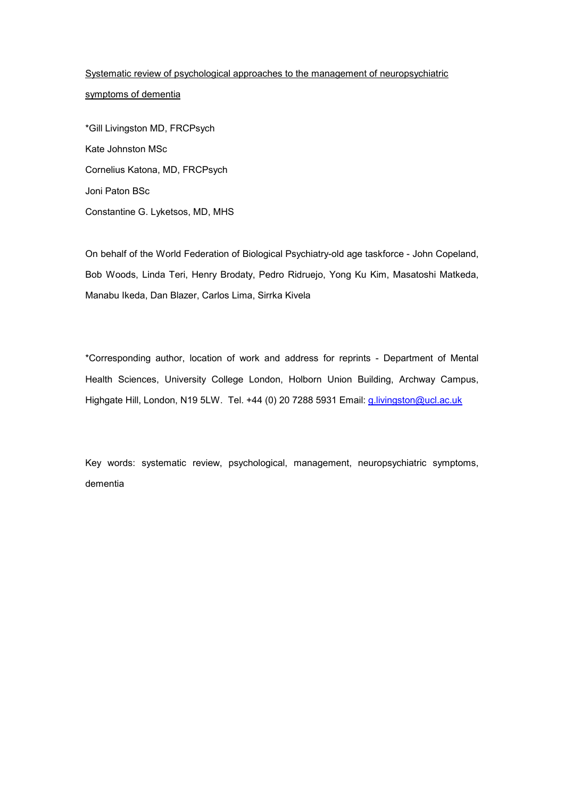Systematic review of psychological approaches to the management of neuropsychiatric symptoms of dementia

\*Gill Livingston MD, FRCPsych Kate Johnston MSc Cornelius Katona, MD, FRCPsych Joni Paton BSc Constantine G. Lyketsos, MD, MHS

On behalf of the World Federation of Biological Psychiatry-old age taskforce - John Copeland, Bob Woods, Linda Teri, Henry Brodaty, Pedro Ridruejo, Yong Ku Kim, Masatoshi Matkeda, Manabu Ikeda, Dan Blazer, Carlos Lima, Sirrka Kivela

\*Corresponding author, location of work and address for reprints - Department of Mental Health Sciences, University College London, Holborn Union Building, Archway Campus, Highgate Hill, London, N19 5LW. Tel. +44 (0) 20 7288 5931 Email: g.livingston@ucl.ac.uk

Key words: systematic review, psychological, management, neuropsychiatric symptoms, dementia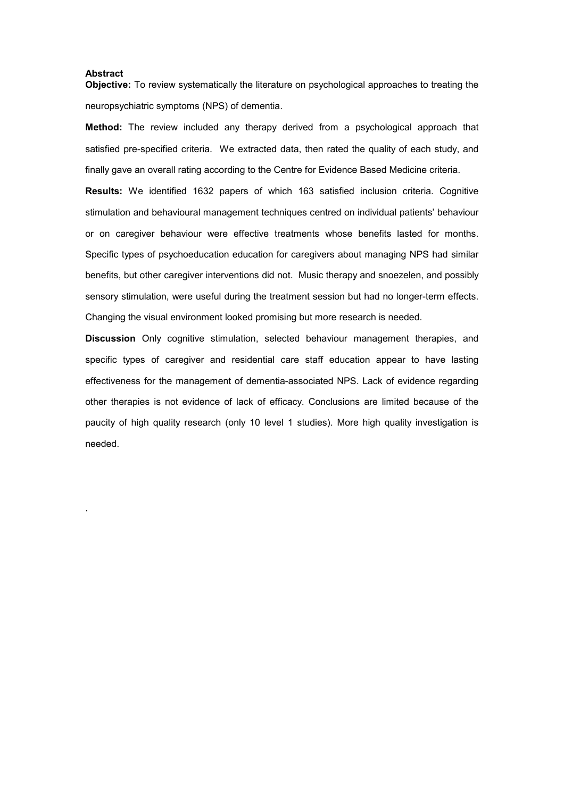#### Abstract

.

Objective: To review systematically the literature on psychological approaches to treating the neuropsychiatric symptoms (NPS) of dementia.

Method: The review included any therapy derived from a psychological approach that satisfied pre-specified criteria. We extracted data, then rated the quality of each study, and finally gave an overall rating according to the Centre for Evidence Based Medicine criteria.

Results: We identified 1632 papers of which 163 satisfied inclusion criteria. Cognitive stimulation and behavioural management techniques centred on individual patients' behaviour or on caregiver behaviour were effective treatments whose benefits lasted for months. Specific types of psychoeducation education for caregivers about managing NPS had similar benefits, but other caregiver interventions did not. Music therapy and snoezelen, and possibly sensory stimulation, were useful during the treatment session but had no longer-term effects. Changing the visual environment looked promising but more research is needed.

Discussion Only cognitive stimulation, selected behaviour management therapies, and specific types of caregiver and residential care staff education appear to have lasting effectiveness for the management of dementia-associated NPS. Lack of evidence regarding other therapies is not evidence of lack of efficacy. Conclusions are limited because of the paucity of high quality research (only 10 level 1 studies). More high quality investigation is needed.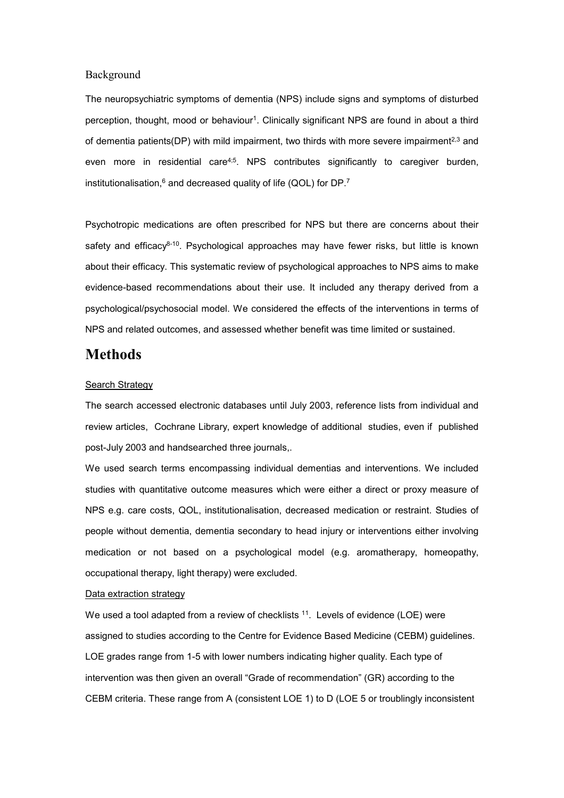## Background

The neuropsychiatric symptoms of dementia (NPS) include signs and symptoms of disturbed perception, thought, mood or behaviour<sup>1</sup>. Clinically significant NPS are found in about a third of dementia patients(DP) with mild impairment, two thirds with more severe impairment<sup>2,3</sup> and even more in residential care<sup>4;5</sup>. NPS contributes significantly to caregiver burden, institutionalisation, $6$  and decreased quality of life (QOL) for DP.<sup>7</sup>

Psychotropic medications are often prescribed for NPS but there are concerns about their safety and efficacy<sup>8-10</sup>. Psychological approaches may have fewer risks, but little is known about their efficacy. This systematic review of psychological approaches to NPS aims to make evidence-based recommendations about their use. It included any therapy derived from a psychological/psychosocial model. We considered the effects of the interventions in terms of NPS and related outcomes, and assessed whether benefit was time limited or sustained.

# **Methods**

#### Search Strategy

The search accessed electronic databases until July 2003, reference lists from individual and review articles, Cochrane Library, expert knowledge of additional studies, even if published post-July 2003 and handsearched three journals,.

We used search terms encompassing individual dementias and interventions. We included studies with quantitative outcome measures which were either a direct or proxy measure of NPS e.g. care costs, QOL, institutionalisation, decreased medication or restraint. Studies of people without dementia, dementia secondary to head injury or interventions either involving medication or not based on a psychological model (e.g. aromatherapy, homeopathy, occupational therapy, light therapy) were excluded.

## Data extraction strategy

We used a tool adapted from a review of checklists <sup>11</sup>. Levels of evidence (LOE) were assigned to studies according to the Centre for Evidence Based Medicine (CEBM) guidelines. LOE grades range from 1-5 with lower numbers indicating higher quality. Each type of intervention was then given an overall "Grade of recommendation" (GR) according to the CEBM criteria. These range from A (consistent LOE 1) to D (LOE 5 or troublingly inconsistent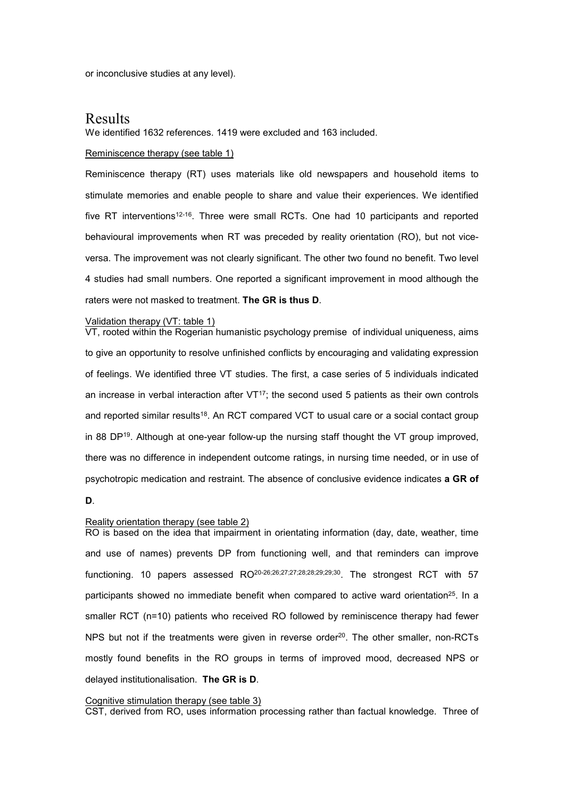or inconclusive studies at any level).

## Results

We identified 1632 references. 1419 were excluded and 163 included.

#### Reminiscence therapy (see table 1)

Reminiscence therapy (RT) uses materials like old newspapers and household items to stimulate memories and enable people to share and value their experiences. We identified five RT interventions<sup>12-16</sup>. Three were small RCTs. One had 10 participants and reported behavioural improvements when RT was preceded by reality orientation (RO), but not viceversa. The improvement was not clearly significant. The other two found no benefit. Two level 4 studies had small numbers. One reported a significant improvement in mood although the raters were not masked to treatment. The GR is thus D.

#### Validation therapy (VT: table 1)

VT, rooted within the Rogerian humanistic psychology premise of individual uniqueness, aims to give an opportunity to resolve unfinished conflicts by encouraging and validating expression of feelings. We identified three VT studies. The first, a case series of 5 individuals indicated an increase in verbal interaction after  $VT<sup>17</sup>$ ; the second used 5 patients as their own controls and reported similar results<sup>18</sup>. An RCT compared VCT to usual care or a social contact group in 88 DP<sup>19</sup>. Although at one-year follow-up the nursing staff thought the VT group improved, there was no difference in independent outcome ratings, in nursing time needed, or in use of psychotropic medication and restraint. The absence of conclusive evidence indicates a GR of

## D.

### Reality orientation therapy (see table 2)

RO is based on the idea that impairment in orientating information (day, date, weather, time and use of names) prevents DP from functioning well, and that reminders can improve functioning. 10 papers assessed RO<sup>20-26;26;27;27;28;28;29;29;30</sup>. The strongest RCT with 57 participants showed no immediate benefit when compared to active ward orientation<sup>25</sup>. In a smaller RCT (n=10) patients who received RO followed by reminiscence therapy had fewer NPS but not if the treatments were given in reverse order<sup>20</sup>. The other smaller, non-RCTs mostly found benefits in the RO groups in terms of improved mood, decreased NPS or delayed institutionalisation. The GR is D.

#### Cognitive stimulation therapy (see table 3)

CST, derived from RO, uses information processing rather than factual knowledge. Three of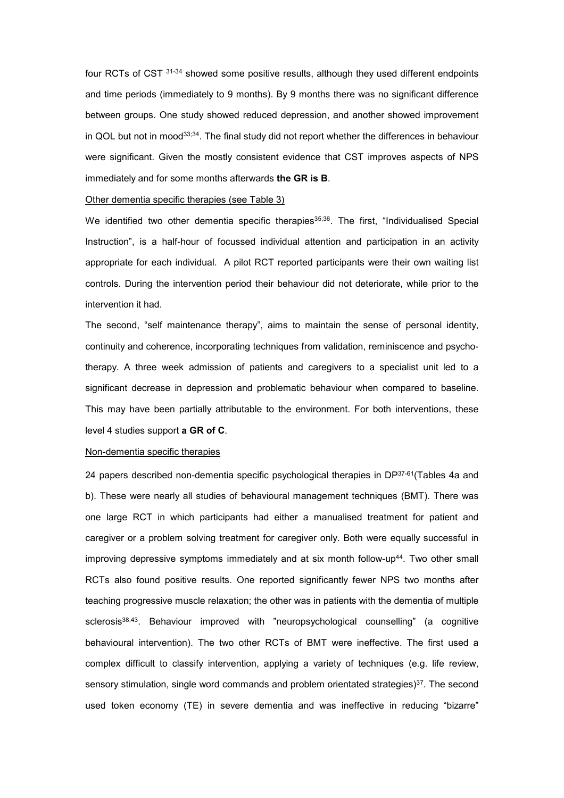four RCTs of CST 31-34 showed some positive results, although they used different endpoints and time periods (immediately to 9 months). By 9 months there was no significant difference between groups. One study showed reduced depression, and another showed improvement in QOL but not in mood $33,34$ . The final study did not report whether the differences in behaviour were significant. Given the mostly consistent evidence that CST improves aspects of NPS immediately and for some months afterwards the GR is B.

## Other dementia specific therapies (see Table 3)

We identified two other dementia specific therapies<sup>35;36</sup>. The first, "Individualised Special Instruction", is a half-hour of focussed individual attention and participation in an activity appropriate for each individual. A pilot RCT reported participants were their own waiting list controls. During the intervention period their behaviour did not deteriorate, while prior to the intervention it had.

The second, "self maintenance therapy", aims to maintain the sense of personal identity, continuity and coherence, incorporating techniques from validation, reminiscence and psychotherapy. A three week admission of patients and caregivers to a specialist unit led to a significant decrease in depression and problematic behaviour when compared to baseline. This may have been partially attributable to the environment. For both interventions, these level 4 studies support a GR of C.

#### Non-dementia specific therapies

24 papers described non-dementia specific psychological therapies in DP37-61(Tables 4a and b). These were nearly all studies of behavioural management techniques (BMT). There was one large RCT in which participants had either a manualised treatment for patient and caregiver or a problem solving treatment for caregiver only. Both were equally successful in improving depressive symptoms immediately and at six month follow-up<sup>44</sup>. Two other small RCTs also found positive results. One reported significantly fewer NPS two months after teaching progressive muscle relaxation; the other was in patients with the dementia of multiple sclerosis<sup>38;43</sup>. Behaviour improved with "neuropsychological counselling" (a cognitive behavioural intervention). The two other RCTs of BMT were ineffective. The first used a complex difficult to classify intervention, applying a variety of techniques (e.g. life review, sensory stimulation, single word commands and problem orientated strategies)<sup>37</sup>. The second used token economy (TE) in severe dementia and was ineffective in reducing "bizarre"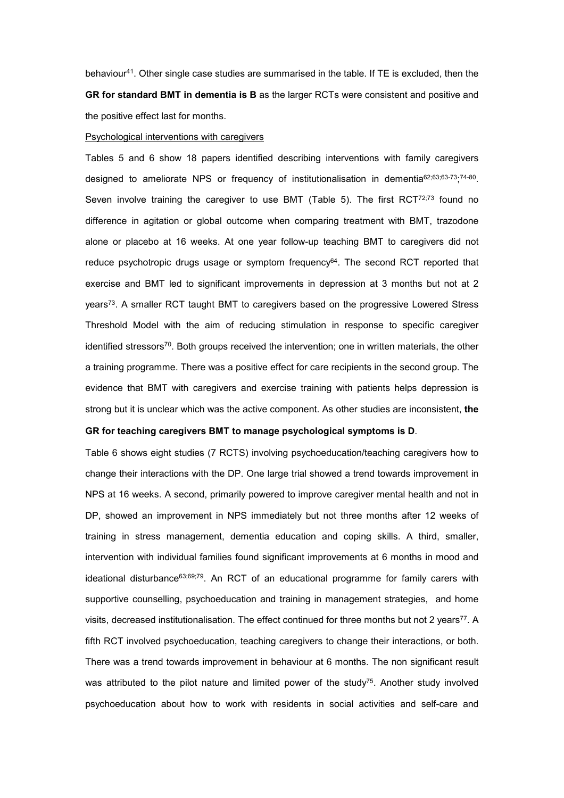behaviour<sup>41</sup>. Other single case studies are summarised in the table. If TE is excluded, then the GR for standard BMT in dementia is B as the larger RCTs were consistent and positive and the positive effect last for months.

#### Psychological interventions with caregivers

Tables 5 and 6 show 18 papers identified describing interventions with family caregivers designed to ameliorate NPS or frequency of institutionalisation in dementia<sup>62;63;63-73</sup>;<sup>74-80</sup>. Seven involve training the caregiver to use BMT (Table 5). The first  $RCT^{72,73}$  found no difference in agitation or global outcome when comparing treatment with BMT, trazodone alone or placebo at 16 weeks. At one year follow-up teaching BMT to caregivers did not reduce psychotropic drugs usage or symptom frequency<sup>64</sup>. The second RCT reported that exercise and BMT led to significant improvements in depression at 3 months but not at 2 years<sup>73</sup>. A smaller RCT taught BMT to caregivers based on the progressive Lowered Stress Threshold Model with the aim of reducing stimulation in response to specific caregiver identified stressors<sup>70</sup>. Both groups received the intervention; one in written materials, the other a training programme. There was a positive effect for care recipients in the second group. The evidence that BMT with caregivers and exercise training with patients helps depression is strong but it is unclear which was the active component. As other studies are inconsistent, the

## GR for teaching caregivers BMT to manage psychological symptoms is D.

Table 6 shows eight studies (7 RCTS) involving psychoeducation/teaching caregivers how to change their interactions with the DP. One large trial showed a trend towards improvement in NPS at 16 weeks. A second, primarily powered to improve caregiver mental health and not in DP, showed an improvement in NPS immediately but not three months after 12 weeks of training in stress management, dementia education and coping skills. A third, smaller, intervention with individual families found significant improvements at 6 months in mood and ideational disturbance<sup>63;69;79</sup>. An RCT of an educational programme for family carers with supportive counselling, psychoeducation and training in management strategies, and home visits, decreased institutionalisation. The effect continued for three months but not 2 years<sup>77</sup>. A fifth RCT involved psychoeducation, teaching caregivers to change their interactions, or both. There was a trend towards improvement in behaviour at 6 months. The non significant result was attributed to the pilot nature and limited power of the study<sup>75</sup>. Another study involved psychoeducation about how to work with residents in social activities and self-care and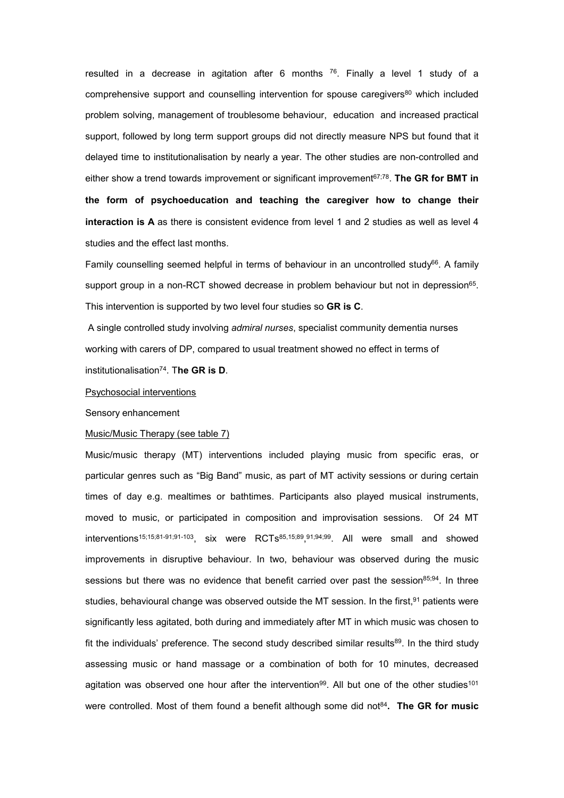resulted in a decrease in agitation after 6 months  $76$ . Finally a level 1 study of a comprehensive support and counselling intervention for spouse caregivers<sup>80</sup> which included problem solving, management of troublesome behaviour, education and increased practical support, followed by long term support groups did not directly measure NPS but found that it delayed time to institutionalisation by nearly a year. The other studies are non-controlled and either show a trend towards improvement or significant improvement $^{67,78}$ . The GR for BMT in the form of psychoeducation and teaching the caregiver how to change their interaction is A as there is consistent evidence from level 1 and 2 studies as well as level 4 studies and the effect last months.

Family counselling seemed helpful in terms of behaviour in an uncontrolled study<sup>66</sup>. A family support group in a non-RCT showed decrease in problem behaviour but not in depression<sup>65</sup>. This intervention is supported by two level four studies so GR is C.

 A single controlled study involving admiral nurses, specialist community dementia nurses working with carers of DP, compared to usual treatment showed no effect in terms of institutionalisation<sup>74</sup>. The GR is D.

#### Psychosocial interventions

Sensory enhancement

## Music/Music Therapy (see table 7)

Music/music therapy (MT) interventions included playing music from specific eras, or particular genres such as "Big Band" music, as part of MT activity sessions or during certain times of day e.g. mealtimes or bathtimes. Participants also played musical instruments, moved to music, or participated in composition and improvisation sessions. Of 24 MT interventions<sup>15;15;81-91;91-103</sup>, six were RCTs<sup>85,15;89</sup>,<sup>91;94;99</sup>. All were small and showed improvements in disruptive behaviour. In two, behaviour was observed during the music sessions but there was no evidence that benefit carried over past the session<sup>85;94</sup>. In three studies, behavioural change was observed outside the MT session. In the first,<sup>91</sup> patients were significantly less agitated, both during and immediately after MT in which music was chosen to fit the individuals' preference. The second study described similar results<sup>89</sup>. In the third study assessing music or hand massage or a combination of both for 10 minutes, decreased agitation was observed one hour after the intervention<sup>99</sup>. All but one of the other studies<sup>101</sup> were controlled. Most of them found a benefit although some did not $84$ . The GR for music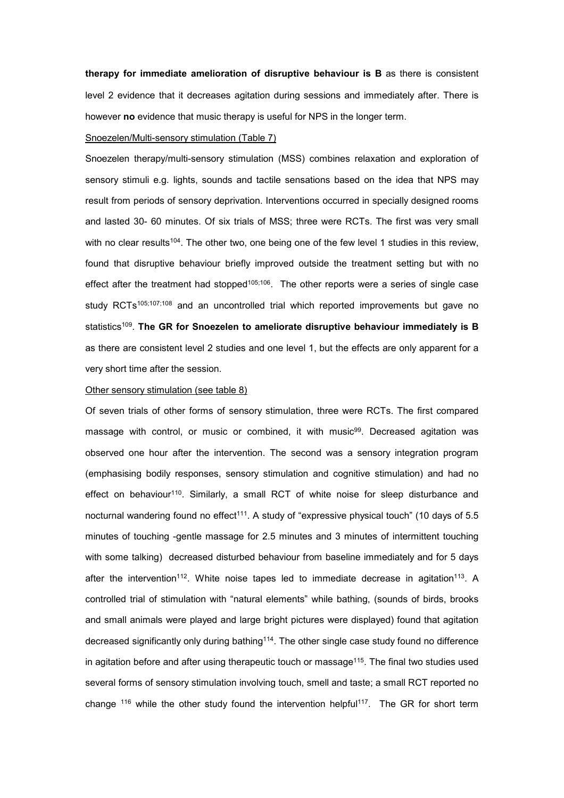therapy for immediate amelioration of disruptive behaviour is B as there is consistent level 2 evidence that it decreases agitation during sessions and immediately after. There is however no evidence that music therapy is useful for NPS in the longer term.

#### Snoezelen/Multi-sensory stimulation (Table 7)

Snoezelen therapy/multi-sensory stimulation (MSS) combines relaxation and exploration of sensory stimuli e.g. lights, sounds and tactile sensations based on the idea that NPS may result from periods of sensory deprivation. Interventions occurred in specially designed rooms and lasted 30- 60 minutes. Of six trials of MSS; three were RCTs. The first was very small with no clear results<sup>104</sup>. The other two, one being one of the few level 1 studies in this review, found that disruptive behaviour briefly improved outside the treatment setting but with no effect after the treatment had stopped<sup>105;106</sup>. The other reports were a series of single case study RCTs<sup>105;107;108</sup> and an uncontrolled trial which reported improvements but gave no  $\mathsf{statistics^{109}}.$  The GR for Snoezelen to ameliorate disruptive behaviour immediately is B as there are consistent level 2 studies and one level 1, but the effects are only apparent for a very short time after the session.

#### Other sensory stimulation (see table 8)

Of seven trials of other forms of sensory stimulation, three were RCTs. The first compared massage with control, or music or combined, it with music<sup>99</sup>. Decreased agitation was observed one hour after the intervention. The second was a sensory integration program (emphasising bodily responses, sensory stimulation and cognitive stimulation) and had no effect on behaviour<sup>110</sup>. Similarly, a small RCT of white noise for sleep disturbance and nocturnal wandering found no effect<sup>111</sup>. A study of "expressive physical touch" (10 days of 5.5 minutes of touching -gentle massage for 2.5 minutes and 3 minutes of intermittent touching with some talking) decreased disturbed behaviour from baseline immediately and for 5 days after the intervention<sup>112</sup>. White noise tapes led to immediate decrease in agitation<sup>113</sup>. A controlled trial of stimulation with "natural elements" while bathing, (sounds of birds, brooks and small animals were played and large bright pictures were displayed) found that agitation decreased significantly only during bathing<sup>114</sup>. The other single case study found no difference in agitation before and after using therapeutic touch or massage<sup>115</sup>. The final two studies used several forms of sensory stimulation involving touch, smell and taste; a small RCT reported no change <sup>116</sup> while the other study found the intervention helpful<sup>117</sup>. The GR for short term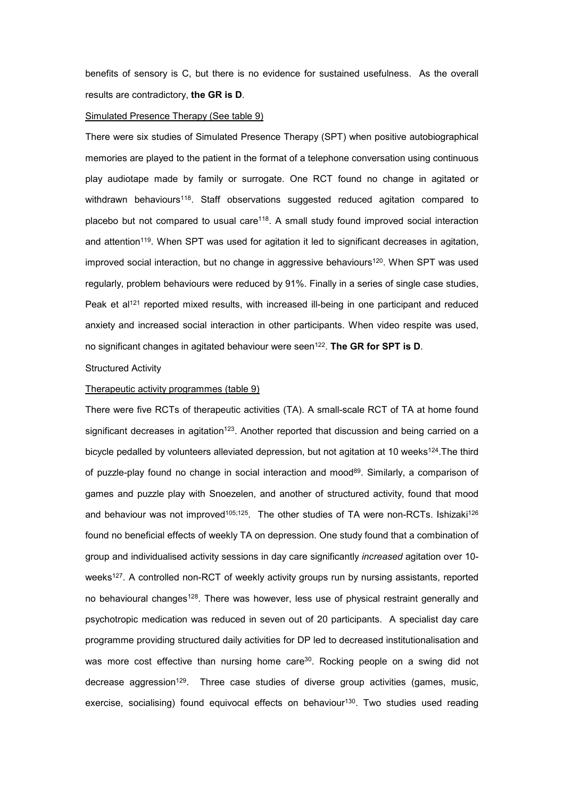benefits of sensory is C, but there is no evidence for sustained usefulness. As the overall results are contradictory, the GR is D.

### Simulated Presence Therapy (See table 9)

There were six studies of Simulated Presence Therapy (SPT) when positive autobiographical memories are played to the patient in the format of a telephone conversation using continuous play audiotape made by family or surrogate. One RCT found no change in agitated or withdrawn behaviours<sup>118</sup>. Staff observations suggested reduced agitation compared to placebo but not compared to usual care<sup>118</sup>. A small study found improved social interaction and attention<sup>119</sup>. When SPT was used for agitation it led to significant decreases in agitation, improved social interaction, but no change in aggressive behaviours<sup>120</sup>. When SPT was used regularly, problem behaviours were reduced by 91%. Finally in a series of single case studies, Peak et al<sup>121</sup> reported mixed results, with increased ill-being in one participant and reduced anxiety and increased social interaction in other participants. When video respite was used, no significant changes in agitated behaviour were seen<sup>122</sup>. The GR for SPT is D.

## Structured Activity

## Therapeutic activity programmes (table 9)

There were five RCTs of therapeutic activities (TA). A small-scale RCT of TA at home found significant decreases in agitation<sup>123</sup>. Another reported that discussion and being carried on a bicycle pedalled by volunteers alleviated depression, but not agitation at 10 weeks<sup>124</sup>. The third of puzzle-play found no change in social interaction and mood<sup>89</sup>. Similarly, a comparison of games and puzzle play with Snoezelen, and another of structured activity, found that mood and behaviour was not improved<sup>105;125</sup>. The other studies of TA were non-RCTs. Ishizaki<sup>126</sup> found no beneficial effects of weekly TA on depression. One study found that a combination of group and individualised activity sessions in day care significantly increased agitation over 10 weeks<sup>127</sup>. A controlled non-RCT of weekly activity groups run by nursing assistants, reported no behavioural changes<sup>128</sup>. There was however, less use of physical restraint generally and psychotropic medication was reduced in seven out of 20 participants. A specialist day care programme providing structured daily activities for DP led to decreased institutionalisation and was more cost effective than nursing home care<sup>30</sup>. Rocking people on a swing did not decrease aggression<sup>129</sup>. Three case studies of diverse group activities (games, music, exercise, socialising) found equivocal effects on behaviour<sup>130</sup>. Two studies used reading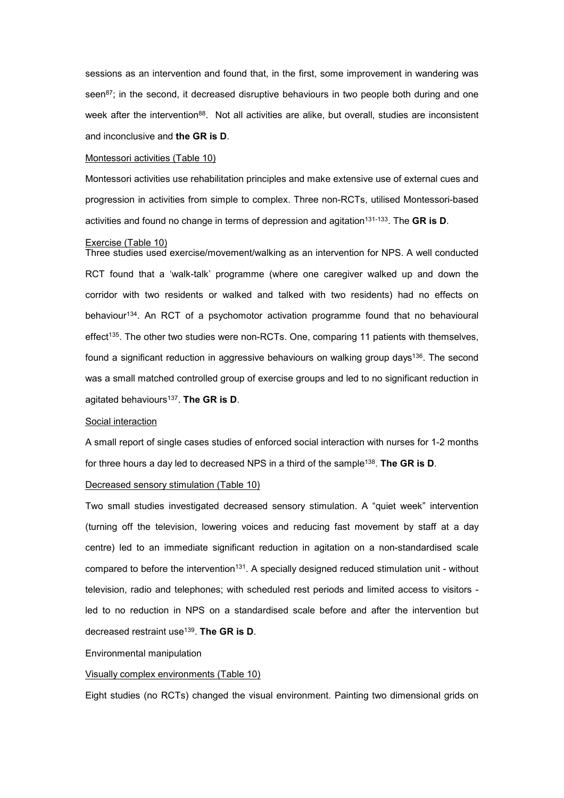sessions as an intervention and found that, in the first, some improvement in wandering was seen $87$ ; in the second, it decreased disruptive behaviours in two people both during and one week after the intervention<sup>88</sup>. Not all activities are alike, but overall, studies are inconsistent and inconclusive and the GR is D.

#### Montessori activities (Table 10)

Montessori activities use rehabilitation principles and make extensive use of external cues and progression in activities from simple to complex. Three non-RCTs, utilised Montessori-based activities and found no change in terms of depression and agitation<sup>131-133</sup>. The GR is D.

#### Exercise (Table 10)

Three studies used exercise/movement/walking as an intervention for NPS. A well conducted RCT found that a 'walk-talk' programme (where one caregiver walked up and down the corridor with two residents or walked and talked with two residents) had no effects on behaviour<sup>134</sup>. An RCT of a psychomotor activation programme found that no behavioural effect<sup>135</sup>. The other two studies were non-RCTs. One, comparing 11 patients with themselves, found a significant reduction in aggressive behaviours on walking group days<sup>136</sup>. The second was a small matched controlled group of exercise groups and led to no significant reduction in agitated behaviours<sup>137</sup>. The GR is D.

#### Social interaction

A small report of single cases studies of enforced social interaction with nurses for 1-2 months for three hours a day led to decreased NPS in a third of the sample $^{138}.$  The GR is D.

#### Decreased sensory stimulation (Table 10)

Two small studies investigated decreased sensory stimulation. A "quiet week" intervention (turning off the television, lowering voices and reducing fast movement by staff at a day centre) led to an immediate significant reduction in agitation on a non-standardised scale compared to before the intervention<sup>131</sup>. A specially designed reduced stimulation unit - without television, radio and telephones; with scheduled rest periods and limited access to visitors led to no reduction in NPS on a standardised scale before and after the intervention but decreased restraint use<sup>139</sup>. The GR is D.

#### Environmental manipulation

#### Visually complex environments (Table 10)

Eight studies (no RCTs) changed the visual environment. Painting two dimensional grids on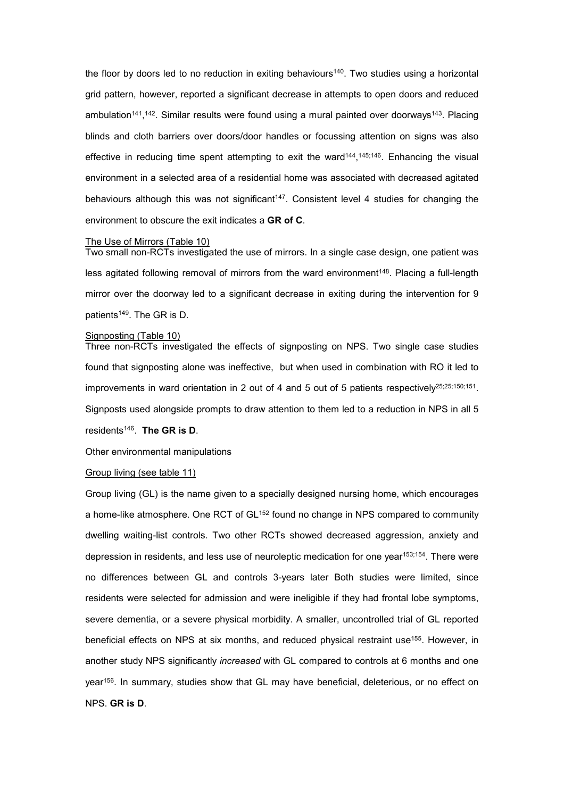the floor by doors led to no reduction in exiting behaviours<sup>140</sup>. Two studies using a horizontal grid pattern, however, reported a significant decrease in attempts to open doors and reduced ambulation<sup>141</sup>,<sup>142</sup>. Similar results were found using a mural painted over doorways<sup>143</sup>. Placing blinds and cloth barriers over doors/door handles or focussing attention on signs was also effective in reducing time spent attempting to exit the ward<sup>144</sup>,<sup>145;146</sup>. Enhancing the visual environment in a selected area of a residential home was associated with decreased agitated behaviours although this was not significant<sup>147</sup>. Consistent level 4 studies for changing the environment to obscure the exit indicates a GR of C.

#### The Use of Mirrors (Table 10)

Two small non-RCTs investigated the use of mirrors. In a single case design, one patient was less agitated following removal of mirrors from the ward environment<sup>148</sup>. Placing a full-length mirror over the doorway led to a significant decrease in exiting during the intervention for 9 patients<sup>149</sup>. The GR is D.

## Signposting (Table 10)

Three non-RCTs investigated the effects of signposting on NPS. Two single case studies found that signposting alone was ineffective, but when used in combination with RO it led to improvements in ward orientation in 2 out of 4 and 5 out of 5 patients respectively<sup>25,25;150;151</sup>. Signposts used alongside prompts to draw attention to them led to a reduction in NPS in all 5

residents<sup>146</sup>. The GR is D.

Other environmental manipulations

#### Group living (see table 11)

Group living (GL) is the name given to a specially designed nursing home, which encourages a home-like atmosphere. One RCT of GL<sup>152</sup> found no change in NPS compared to community dwelling waiting-list controls. Two other RCTs showed decreased aggression, anxiety and depression in residents, and less use of neuroleptic medication for one year153;154. There were no differences between GL and controls 3-years later Both studies were limited, since residents were selected for admission and were ineligible if they had frontal lobe symptoms, severe dementia, or a severe physical morbidity. A smaller, uncontrolled trial of GL reported beneficial effects on NPS at six months, and reduced physical restraint use<sup>155</sup>. However, in another study NPS significantly increased with GL compared to controls at 6 months and one year<sup>156</sup>. In summary, studies show that GL may have beneficial, deleterious, or no effect on NPS. GR is D.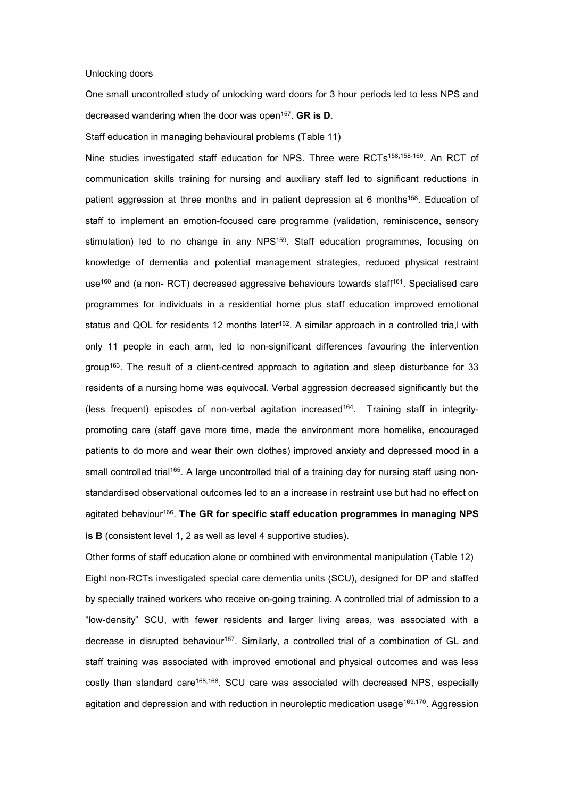## Unlocking doors

One small uncontrolled study of unlocking ward doors for 3 hour periods led to less NPS and decreased wandering when the door was open<sup>157</sup>. GR is D.

#### Staff education in managing behavioural problems (Table 11)

Nine studies investigated staff education for NPS. Three were RCTs<sup>158;158-160</sup>. An RCT of communication skills training for nursing and auxiliary staff led to significant reductions in patient aggression at three months and in patient depression at 6 months<sup>158</sup>. Education of staff to implement an emotion-focused care programme (validation, reminiscence, sensory stimulation) led to no change in any NPS<sup>159</sup>. Staff education programmes, focusing on knowledge of dementia and potential management strategies, reduced physical restraint use<sup>160</sup> and (a non- RCT) decreased aggressive behaviours towards staff<sup>161</sup>. Specialised care programmes for individuals in a residential home plus staff education improved emotional status and QOL for residents 12 months later<sup>162</sup>. A similar approach in a controlled tria,l with only 11 people in each arm, led to non-significant differences favouring the intervention group<sup>163</sup>. The result of a client-centred approach to agitation and sleep disturbance for 33 residents of a nursing home was equivocal. Verbal aggression decreased significantly but the (less frequent) episodes of non-verbal agitation increased<sup>164</sup>. Training staff in integritypromoting care (staff gave more time, made the environment more homelike, encouraged patients to do more and wear their own clothes) improved anxiety and depressed mood in a small controlled trial<sup>165</sup>. A large uncontrolled trial of a training day for nursing staff using nonstandardised observational outcomes led to an a increase in restraint use but had no effect on agitated behaviour<sup>166</sup>. Th**e GR for specific staff education programmes in managing NPS** is B (consistent level 1, 2 as well as level 4 supportive studies).

Other forms of staff education alone or combined with environmental manipulation (Table 12) Eight non-RCTs investigated special care dementia units (SCU), designed for DP and staffed by specially trained workers who receive on-going training. A controlled trial of admission to a "low-density" SCU, with fewer residents and larger living areas, was associated with a decrease in disrupted behaviour<sup>167</sup>. Similarly, a controlled trial of a combination of GL and staff training was associated with improved emotional and physical outcomes and was less costly than standard care168;168. SCU care was associated with decreased NPS, especially agitation and depression and with reduction in neuroleptic medication usage<sup>169;170</sup>. Aggression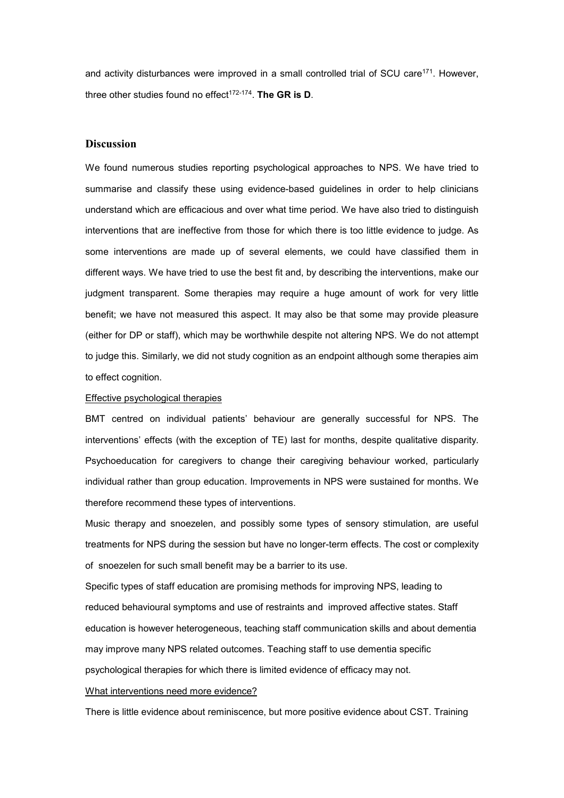and activity disturbances were improved in a small controlled trial of SCU care<sup>171</sup>. However, three other studies found no effect $172-174$ . The GR is D.

## **Discussion**

We found numerous studies reporting psychological approaches to NPS. We have tried to summarise and classify these using evidence-based guidelines in order to help clinicians understand which are efficacious and over what time period. We have also tried to distinguish interventions that are ineffective from those for which there is too little evidence to judge. As some interventions are made up of several elements, we could have classified them in different ways. We have tried to use the best fit and, by describing the interventions, make our judgment transparent. Some therapies may require a huge amount of work for very little benefit; we have not measured this aspect. It may also be that some may provide pleasure (either for DP or staff), which may be worthwhile despite not altering NPS. We do not attempt to judge this. Similarly, we did not study cognition as an endpoint although some therapies aim to effect cognition.

## Effective psychological therapies

BMT centred on individual patients' behaviour are generally successful for NPS. The interventions' effects (with the exception of TE) last for months, despite qualitative disparity. Psychoeducation for caregivers to change their caregiving behaviour worked, particularly individual rather than group education. Improvements in NPS were sustained for months. We therefore recommend these types of interventions.

Music therapy and snoezelen, and possibly some types of sensory stimulation, are useful treatments for NPS during the session but have no longer-term effects. The cost or complexity of snoezelen for such small benefit may be a barrier to its use.

Specific types of staff education are promising methods for improving NPS, leading to reduced behavioural symptoms and use of restraints and improved affective states. Staff education is however heterogeneous, teaching staff communication skills and about dementia may improve many NPS related outcomes. Teaching staff to use dementia specific psychological therapies for which there is limited evidence of efficacy may not.

#### What interventions need more evidence?

There is little evidence about reminiscence, but more positive evidence about CST. Training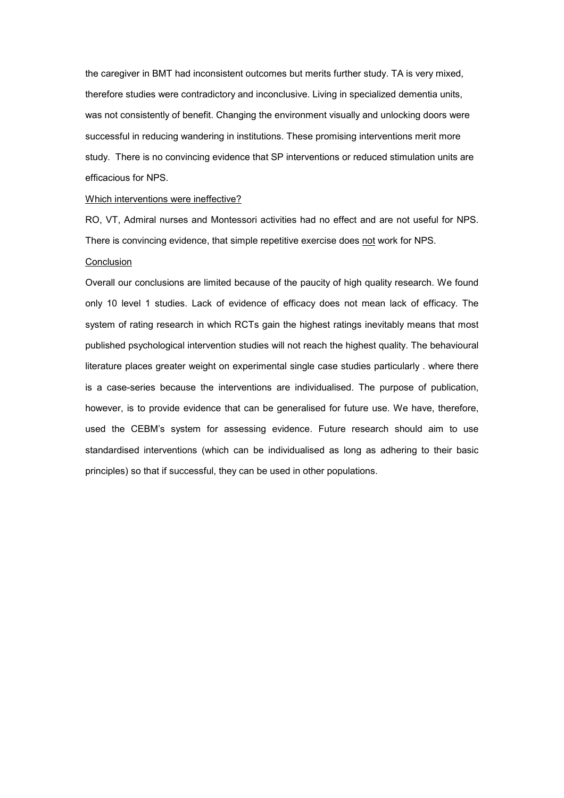the caregiver in BMT had inconsistent outcomes but merits further study. TA is very mixed, therefore studies were contradictory and inconclusive. Living in specialized dementia units, was not consistently of benefit. Changing the environment visually and unlocking doors were successful in reducing wandering in institutions. These promising interventions merit more study. There is no convincing evidence that SP interventions or reduced stimulation units are efficacious for NPS.

#### Which interventions were ineffective?

RO, VT, Admiral nurses and Montessori activities had no effect and are not useful for NPS. There is convincing evidence, that simple repetitive exercise does not work for NPS.

## Conclusion

Overall our conclusions are limited because of the paucity of high quality research. We found only 10 level 1 studies. Lack of evidence of efficacy does not mean lack of efficacy. The system of rating research in which RCTs gain the highest ratings inevitably means that most published psychological intervention studies will not reach the highest quality. The behavioural literature places greater weight on experimental single case studies particularly . where there is a case-series because the interventions are individualised. The purpose of publication, however, is to provide evidence that can be generalised for future use. We have, therefore, used the CEBM's system for assessing evidence. Future research should aim to use standardised interventions (which can be individualised as long as adhering to their basic principles) so that if successful, they can be used in other populations.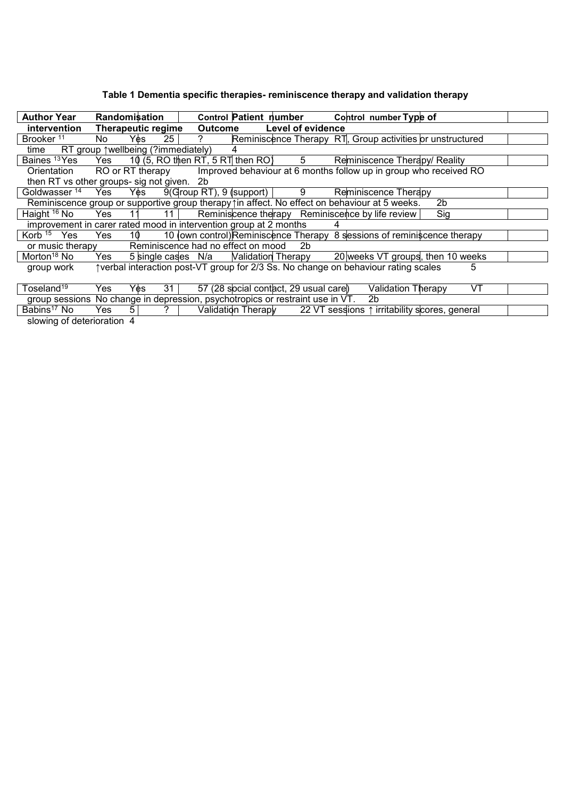# Table 1 Dementia specific therapies- reminiscence therapy and validation therapy

| <b>Author Year</b>                                                                           |     | Randomiṡation                        |                |                    |                                       | Control Patient number Control number Type of                                      |     |    |  |
|----------------------------------------------------------------------------------------------|-----|--------------------------------------|----------------|--------------------|---------------------------------------|------------------------------------------------------------------------------------|-----|----|--|
| intervention                                                                                 |     | Therapeutic regime                   |                | <b>Outcome</b>     | Level of evidence                     |                                                                                    |     |    |  |
| Brooker <sup>11</sup>                                                                        | No  | 25 <br>Yès                           | $\overline{?}$ |                    |                                       | Reminiscence Therapy RT, Group activities or unstructured                          |     |    |  |
| time                                                                                         |     | RT group ↑ wellbeing (? immediately) |                | 4                  |                                       |                                                                                    |     |    |  |
| Baines <sup>13</sup> Yes Yes                                                                 |     |                                      |                |                    | 10 (5, RO then RT, 5 RT then RO) $5$  | Reminiscence Therapy/ Reality                                                      |     |    |  |
| Orientation RO or RT therapy                                                                 |     |                                      |                |                    |                                       | Improved behaviour at 6 months follow up in group who received RO                  |     |    |  |
| then RT vs other groups- sig not given. 2b                                                   |     |                                      |                |                    |                                       |                                                                                    |     |    |  |
| Goldwasser <sup>14</sup> Yes Yes 9(Group RT), 9 (support)   9                                |     |                                      |                |                    |                                       | Reminiscence Therapy                                                               |     |    |  |
| Reminiscence group or supportive group therapy in affect. No effect on behaviour at 5 weeks. |     |                                      |                |                    |                                       |                                                                                    | 2b  |    |  |
| Haight <sup>16</sup> No                                                                      |     | Yes $11$ $11$                        |                |                    |                                       | Reminiscence therapy Reminiscence by life review                                   | Sig |    |  |
| improvement in carer rated mood in intervention group at 2 months                            |     |                                      |                |                    |                                       |                                                                                    |     |    |  |
| Korb <sup>15</sup> Yes                                                                       | Yes | 10                                   |                |                    |                                       | 10 (own control) Reminiscence Therapy 8 sessions of reminiscence therapy           |     |    |  |
| or music therapy                                                                             |     | Reminiscence had no effect on mood   |                |                    | 2 <sub>b</sub>                        |                                                                                    |     |    |  |
| Morton <sup>18</sup> No                                                                      | Yes |                                      |                |                    |                                       | 5 single cases N/a Malidation Therapy 20 weeks VT groups, then 10 weeks            |     |    |  |
| group work                                                                                   |     |                                      |                |                    |                                       | †verbal interaction post-VT group for 2/3 Ss. No change on behaviour rating scales |     | 5  |  |
|                                                                                              |     |                                      |                |                    |                                       |                                                                                    |     |    |  |
| Toseland <sup>19</sup>                                                                       | Yes | 31<br>Yės.                           |                |                    | 57 (28 social contact, 29 usual care) | Validation Therapy                                                                 |     | VT |  |
| group sessions No change in depression, psychotropics or restraint use in VT.                |     |                                      |                |                    |                                       | 2b                                                                                 |     |    |  |
| Babins <sup>17</sup> No                                                                      | Yes | $\overline{?}$<br>5 <sup>1</sup>     |                | Validation Therapy |                                       | 22 VT sessions ↑ irritability scores, general                                      |     |    |  |
| slowing of deterioration 4                                                                   |     |                                      |                |                    |                                       |                                                                                    |     |    |  |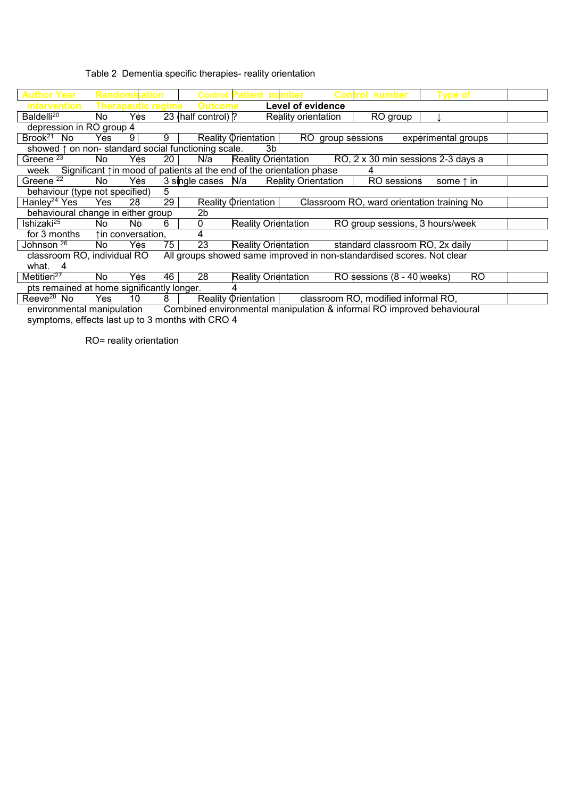## Table 2 Dementia specific therapies- reality orientation

| <b>Author Year</b>                                                                  |     | <b>Randomisation</b>      |                 |                     | <b>Control Patient nu</b>  |                            | Conl | rol number                                                            | Type of             |           |  |
|-------------------------------------------------------------------------------------|-----|---------------------------|-----------------|---------------------|----------------------------|----------------------------|------|-----------------------------------------------------------------------|---------------------|-----------|--|
| <b>intervention</b>                                                                 |     | <b>Therapeutic regime</b> |                 | <b>Outcome</b>      |                            | <b>Level of evidence</b>   |      |                                                                       |                     |           |  |
| Baldelli <sup>20</sup>                                                              | No  | Yes.                      |                 | 23 (half control) ? |                            | Reality orientation        |      | RO group                                                              |                     |           |  |
| depression in RO group 4                                                            |     |                           |                 |                     |                            |                            |      |                                                                       |                     |           |  |
| Brook <sup>21</sup> No                                                              | Yes | 9                         | 9               |                     | <b>Reality Orientation</b> |                            |      | RO group sessions                                                     | experimental groups |           |  |
| showed $\uparrow$ on non-standard social functioning scale.                         |     |                           |                 |                     | 3b                         |                            |      |                                                                       |                     |           |  |
| Greene <sup>23</sup>                                                                | No. | Yes.                      | 20              | N/a                 | <b>Reality Orientation</b> |                            |      | RO, 2 x 30 min sessions 2-3 days a                                    |                     |           |  |
| week Significant $\uparrow$ in mood of patients at the end of the orientation phase |     |                           |                 |                     |                            |                            |      |                                                                       |                     |           |  |
| Greene $22$                                                                         | No. | Y¢s                       |                 | 3 single cases N/a  |                            | <b>Reality Orientation</b> |      | RO sessions                                                           | some $\uparrow$ in  |           |  |
| behaviour (type not specified)                                                      |     |                           | 5               |                     |                            |                            |      |                                                                       |                     |           |  |
| Hanley <sup>24</sup> Yes                                                            | Yes | 28                        | $\overline{29}$ |                     | Reality Orientation        |                            |      | Classroom RO, ward orientation training No                            |                     |           |  |
| behavioural change in either group                                                  |     |                           |                 | 2b                  |                            |                            |      |                                                                       |                     |           |  |
| Ishizaki <sup>25</sup>                                                              | No  | Nb                        | 6               | 0                   | Reality Orientation        |                            |      | RO group sessions, 3 hours/week                                       |                     |           |  |
| for 3 months                                                                        |     | ↑in conversation,         |                 | 4                   |                            |                            |      |                                                                       |                     |           |  |
| Johnson <sup>26</sup>                                                               | No. | Yes                       | 75              | 23                  | <b>Reality Orientation</b> |                            |      | standard classroom RO, 2x daily                                       |                     |           |  |
| classroom RO, individual RO                                                         |     |                           |                 |                     |                            |                            |      | All groups showed same improved in non-standardised scores. Not clear |                     |           |  |
| what. 4                                                                             |     |                           |                 |                     |                            |                            |      |                                                                       |                     |           |  |
| Metitieri <sup>27</sup>                                                             | No. | Yès                       | 46              | 28                  | <b>Reality Orientation</b> |                            |      | RO sessions $(8 - 40)$ weeks)                                         |                     | <b>RO</b> |  |
| pts remained at home significantly longer.                                          |     |                           |                 |                     |                            |                            |      |                                                                       |                     |           |  |
| Reeve <sup>28</sup> No                                                              | Yes | 10                        | 8               |                     | <b>Reality Orientation</b> |                            |      | classroom RO, modified informal RO,                                   |                     |           |  |

environmental manipulation Combined environmental manipulation & informal RO improved behavioural symptoms, effects last up to 3 months with CRO 4

RO= reality orientation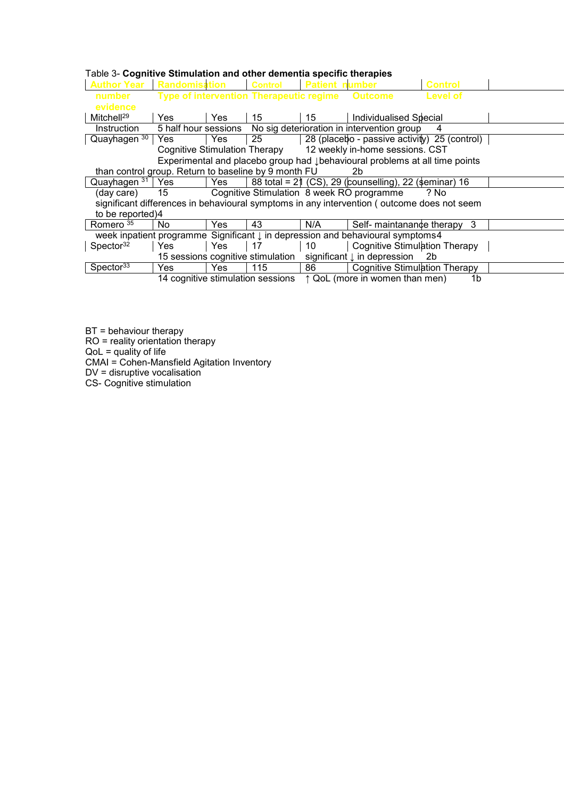| Table 3- Cognitive Stimulation and other dementia specific therapies |
|----------------------------------------------------------------------|
|----------------------------------------------------------------------|

| <b>Author Year</b>                                   | <b>Randomisation</b> |     | <b>Control</b>                                  | <b>Patient number</b> |                                                                                            | <b>Control</b> |  |
|------------------------------------------------------|----------------------|-----|-------------------------------------------------|-----------------------|--------------------------------------------------------------------------------------------|----------------|--|
| number                                               |                      |     | Type of intervention Therapeutic regime Outcome |                       |                                                                                            | Level of       |  |
|                                                      |                      |     |                                                 |                       |                                                                                            |                |  |
| evidence                                             |                      |     |                                                 |                       |                                                                                            |                |  |
| Mitchell <sup>29</sup>                               | Yes                  | Yes | 15                                              | 15                    | Individualised Special                                                                     |                |  |
| Instruction                                          | 5 half hour sessions |     |                                                 |                       | No sig deterioration in intervention group                                                 | 4              |  |
| Quayhagen $30$                                       | Yes                  | Yes | 25                                              |                       | 28 (placebo - passive activity) 25 (control)                                               |                |  |
|                                                      |                      |     |                                                 |                       | Cognitive Stimulation Therapy 12 weekly in-home sessions. CST                              |                |  |
|                                                      |                      |     |                                                 |                       | Experimental and placebo group had <i>J</i> behavioural problems at all time points        |                |  |
| than control group. Return to baseline by 9 month FU |                      |     |                                                 |                       | 2b                                                                                         |                |  |
| Quayhagen $31$ Yes                                   |                      | Yes |                                                 |                       | 88 total = 21 (CS), 29 (counselling), 22 (seminar) 16                                      |                |  |
| (day care)                                           | 15                   |     |                                                 |                       | Cognitive Stimulation 8 week RO programme                                                  | ? No           |  |
|                                                      |                      |     |                                                 |                       | significant differences in behavioural symptoms in any intervention (outcome does not seem |                |  |
| to be reported)4                                     |                      |     |                                                 |                       |                                                                                            |                |  |
| Romero <sup>35</sup>                                 | No.                  | Yes | 43                                              | N/A                   | Self- maintanance therapy 3                                                                |                |  |
|                                                      |                      |     |                                                 |                       | week inpatient programme Significant $\downarrow$ in depression and behavioural symptoms4  |                |  |
| Spector <sup>32</sup>                                | <b>Yes</b>           | Yes | 17                                              | 10                    | <b>Cognitive Stimulation Therapy</b>                                                       |                |  |
|                                                      |                      |     | 15 sessions cognitive stimulation               |                       | significant $\downarrow$ in depression 2b                                                  |                |  |
| Spector $33$                                         | <b>Yes</b>           | Yes | 115                                             | 86 -                  | Cognitive Stimulation Therapy                                                              |                |  |
|                                                      |                      |     | 14 cognitive stimulation sessions               |                       | ↑ QoL (more in women than men)                                                             | 1b             |  |

BT = behaviour therapy

RO = reality orientation therapy

QoL = quality of life

CMAI = Cohen-Mansfield Agitation Inventory

DV = disruptive vocalisation

CS- Cognitive stimulation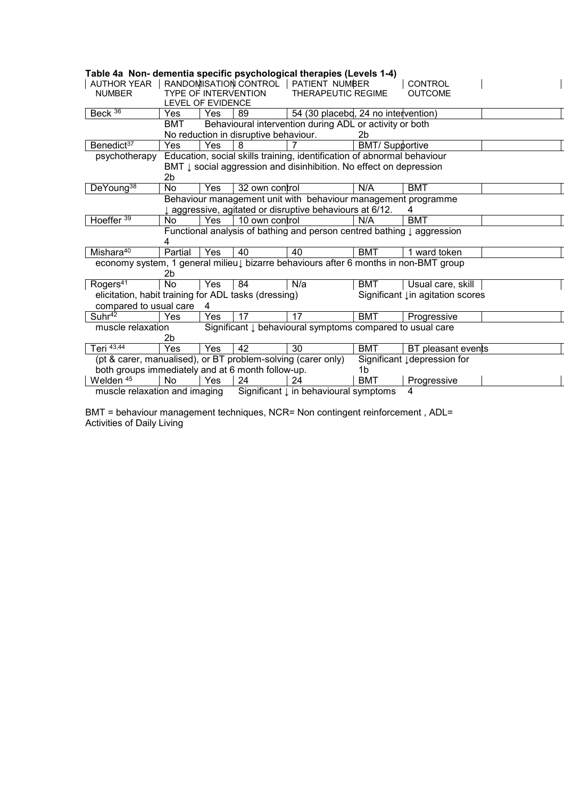| rable 4a  Non- gementia specific psychological therapies (Levels 1-4)                    |                          |            |                                       |                                                                                      |                       |                                  |  |
|------------------------------------------------------------------------------------------|--------------------------|------------|---------------------------------------|--------------------------------------------------------------------------------------|-----------------------|----------------------------------|--|
| <b>AUTHOR YEAR</b>                                                                       |                          |            | RANDOMISATION CONTROL                 | PATIENT NUMBER                                                                       |                       | <b>CONTROL</b>                   |  |
| <b>NUMBER</b>                                                                            |                          |            | <b>TYPE OF INTERVENTION</b>           | <b>THERAPEUTIC REGIME</b>                                                            |                       | <b>OUTCOME</b>                   |  |
|                                                                                          | <b>LEVEL OF EVIDENCE</b> |            |                                       |                                                                                      |                       |                                  |  |
| Beck $36$                                                                                | Yes                      | <b>Yes</b> | 89                                    | 54 (30 placebd, 24 no intervention)                                                  |                       |                                  |  |
|                                                                                          | BMT                      |            |                                       | Behavioural intervention during ADL or activity or both                              |                       |                                  |  |
|                                                                                          |                          |            | No reduction in disruptive behaviour. |                                                                                      | 2b                    |                                  |  |
| Benedict <sup>37</sup>                                                                   | <b>Yes</b>               | Yes        | 8                                     | 7                                                                                    | <b>BMT/Supportive</b> |                                  |  |
| Education, social skills training, identification of abnormal behaviour<br>psychotherapy |                          |            |                                       |                                                                                      |                       |                                  |  |
|                                                                                          |                          |            |                                       | BMT $\downarrow$ social aggression and disinhibition. No effect on depression        |                       |                                  |  |
|                                                                                          | 2b                       |            |                                       |                                                                                      |                       |                                  |  |
| DeYoung <sup>38</sup>                                                                    | <b>No</b>                | Yes        | 32 own control                        |                                                                                      | N/A                   | <b>BMT</b>                       |  |
|                                                                                          |                          |            |                                       | Behaviour management unit with behaviour management programme                        |                       |                                  |  |
|                                                                                          |                          |            |                                       | I aggressive, agitated or disruptive behaviours at 6/12.                             |                       |                                  |  |
| Hoeffer <sup>39</sup>                                                                    | No                       | Yes        | 10 own control                        |                                                                                      | N/A                   | <b>BMT</b>                       |  |
|                                                                                          |                          |            |                                       | Functional analysis of bathing and person centred bathing $\downarrow$ aggression    |                       |                                  |  |
|                                                                                          | 4                        |            |                                       |                                                                                      |                       |                                  |  |
| Mishara <sup>40</sup>                                                                    | Partial                  | <b>Yes</b> | 40                                    | 40                                                                                   | BMT                   | 1 ward token                     |  |
|                                                                                          |                          |            |                                       | economy system, 1 general milieu↓ bizarre behaviours after 6 months in non-BMT group |                       |                                  |  |
|                                                                                          | 2b                       |            |                                       |                                                                                      |                       |                                  |  |
| Rogers <sup>41</sup>                                                                     | <b>No</b>                | Yes        | 84                                    | N/a                                                                                  | <b>BMT</b>            | Usual care, skill                |  |
| elicitation, habit training for ADL tasks (dressing)                                     |                          |            |                                       |                                                                                      |                       | Significant Lin agitation scores |  |
| compared to usual care                                                                   |                          | 4          |                                       |                                                                                      |                       |                                  |  |
| Suhr <sup>42</sup>                                                                       | Yes                      | Yes        | 17                                    | 17                                                                                   | <b>BMT</b>            | Progressive                      |  |
| muscle relaxation                                                                        |                          |            |                                       | Significant $\downarrow$ behavioural symptoms compared to usual care                 |                       |                                  |  |
|                                                                                          | 2b                       |            |                                       |                                                                                      |                       |                                  |  |
| Teri $\overline{43,44}$                                                                  | Yes                      | Yes        | 42                                    | 30                                                                                   | <b>BMT</b>            | BT pleasant events               |  |
| (pt & carer, manualised), or BT problem-solving (carer only)                             |                          |            |                                       |                                                                                      |                       | Significant Jdepression for      |  |
| both groups immediately and at 6 month follow-up.                                        |                          |            |                                       |                                                                                      | 1b                    |                                  |  |
| Welden $\overline{45}$                                                                   | <b>No</b>                | Yes        | 24                                    | 24                                                                                   | <b>BMT</b>            | Progressive                      |  |
| muscle relaxation and imaging                                                            |                          |            |                                       | Significant ↓ in behavioural symptoms                                                |                       | 4                                |  |

Table 4a Non- dementia specific psychological therapies (Levels 1-4)

BMT = behaviour management techniques, NCR= Non contingent reinforcement , ADL= Activities of Daily Living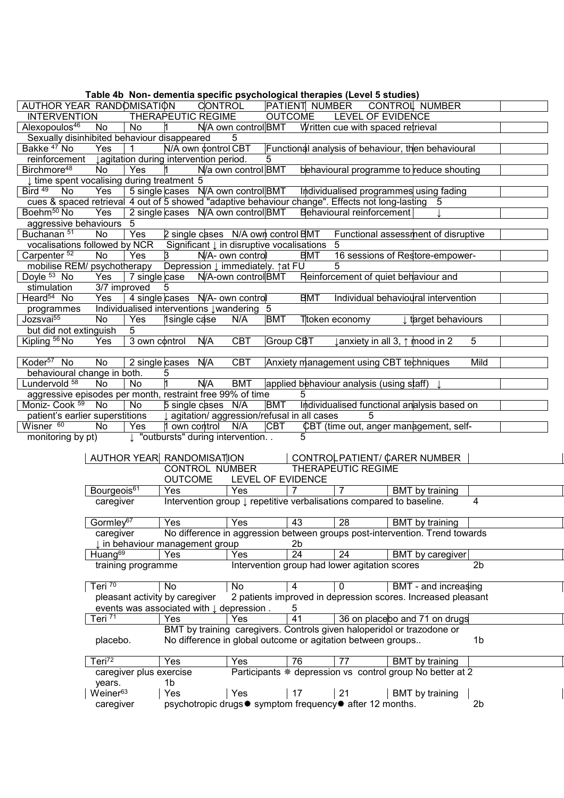|                                                                                                   |                                   |                         | Table 4b Non- dementia specific psychological therapies (Level 5 studies) |                                                            |                   |                 |                                                               |                                                                                 |                |
|---------------------------------------------------------------------------------------------------|-----------------------------------|-------------------------|---------------------------------------------------------------------------|------------------------------------------------------------|-------------------|-----------------|---------------------------------------------------------------|---------------------------------------------------------------------------------|----------------|
| AUTHOR YEAR RANDOMISATION                                                                         |                                   |                         |                                                                           | <b>CONTROL</b>                                             |                   | PATIENT NUMBER  |                                                               | CONTROL NUMBER                                                                  |                |
| <b>INTERVENTION</b>                                                                               |                                   |                         | <b>THERAPEUTIC REGIME</b>                                                 |                                                            | <b>OUTCOME</b>    |                 | <b>LEVEL OF EVIDENCE</b>                                      |                                                                                 |                |
| Alexopoulos <sup>46</sup>                                                                         | No                                | No                      | $\mathsf{1}$                                                              | N/A own control BMT                                        |                   |                 | Written cue with spaced retrieval                             |                                                                                 |                |
| Sexually disinhibited behaviour disappeared                                                       |                                   |                         |                                                                           | 5                                                          |                   |                 |                                                               |                                                                                 |                |
| Bakke <sup>47</sup> No                                                                            | Yes                               | $\mathbf{1}$            | N/A own control CBT                                                       |                                                            |                   |                 |                                                               | Functional analysis of behaviour, then behavioural                              |                |
| reinforcement                                                                                     |                                   |                         | <b>Jagitation during intervention period.</b>                             |                                                            | 5                 |                 |                                                               |                                                                                 |                |
| Birchmore <sup>48</sup>                                                                           | No                                | Yes                     |                                                                           | N/a own control BMT                                        |                   |                 |                                                               | behavioural programme to reduce shouting                                        |                |
| I time spent vocalising during treatment 5                                                        |                                   |                         |                                                                           |                                                            |                   |                 |                                                               |                                                                                 |                |
| Bird <sup>49</sup><br>No                                                                          | Yes                               |                         |                                                                           | 5 single cases N/A own control BMT                         |                   |                 |                                                               | Individualised programmes using fading                                          |                |
| cues & spaced retrieval 4 out of 5 showed "adaptive behaviour change". Effects not long-lasting 5 |                                   |                         |                                                                           |                                                            |                   |                 |                                                               |                                                                                 |                |
| Boehm <sup>50</sup> No                                                                            | Yes                               |                         |                                                                           | 2 single cases N/A own control BMT                         |                   |                 | Behavioural reinforcement                                     |                                                                                 |                |
| aggressive behaviours                                                                             |                                   | 5                       |                                                                           |                                                            |                   |                 |                                                               |                                                                                 |                |
| Buchanan <sup>51</sup>                                                                            | No                                | Yes                     |                                                                           | 2 single cases N/A own control BMT                         |                   |                 |                                                               | Functional assessment of disruptive                                             |                |
| vocalisations followed by NCR                                                                     |                                   |                         |                                                                           | Significant $\downarrow$ in disruptive vocalisations       |                   |                 | 5                                                             |                                                                                 |                |
| Carpenter <sup>52</sup>                                                                           | No                                | Yes                     | 3                                                                         | N/A- own control                                           |                   | <b>BMT</b>      |                                                               | 16 sessions of Restore-empower-                                                 |                |
| mobilise REM/ psychotherapy                                                                       |                                   |                         |                                                                           | Depression $\downarrow$ immediately. $\uparrow$ at FU      |                   |                 | 5                                                             |                                                                                 |                |
| Doyle 53 No                                                                                       | Yes                               | 7 single case           |                                                                           | N/A-own control BMT                                        |                   |                 |                                                               | Reinforcement of quiet behaviour and                                            |                |
| stimulation                                                                                       | 3/7 improved                      |                         | 5                                                                         |                                                            |                   |                 |                                                               |                                                                                 |                |
| Heard <sup>54</sup> No                                                                            | Yes                               |                         |                                                                           | 4 single cases N/A- own control                            |                   | <b>BMT</b>      |                                                               | Individual behavioural intervention                                             |                |
| programmes                                                                                        |                                   |                         |                                                                           | Individualised interventions Jwandering 5                  |                   |                 |                                                               |                                                                                 |                |
| Jozsvai <sup>55</sup>                                                                             | No                                | Yes                     | 1single case                                                              | N/A                                                        | BMT               |                 | Ttoken economy                                                | I target behaviours                                                             |                |
| but did not extinguish                                                                            |                                   | 5                       |                                                                           |                                                            |                   |                 |                                                               |                                                                                 |                |
| Kipling 56 No                                                                                     | Yes                               | 3 own control           | N/A                                                                       | <b>CBT</b>                                                 | Group CBT         |                 |                                                               | ↓ anxiety in all 3, ↑ mood in 2                                                 | 5              |
|                                                                                                   |                                   |                         |                                                                           |                                                            |                   |                 |                                                               |                                                                                 |                |
| Koder <sup>57</sup> No                                                                            | No                                | 2 single cases          | N/A                                                                       | <b>CBT</b>                                                 |                   |                 |                                                               | Anxiety management using CBT techniques                                         | Mild           |
| behavioural change in both.                                                                       |                                   |                         | 5                                                                         |                                                            |                   |                 |                                                               |                                                                                 |                |
| Lundervold 58                                                                                     | <b>No</b>                         | No                      | $\overline{1}$<br>N/A                                                     | <b>BMT</b>                                                 |                   |                 | applied behaviour analysis (using staff)                      |                                                                                 |                |
| aggressive episodes per month, restraint free 99% of time                                         |                                   |                         |                                                                           |                                                            |                   | 5               |                                                               |                                                                                 |                |
| Moniz- Cook 59                                                                                    | No                                | No                      | 5 single cases N/A                                                        |                                                            | <b>BMT</b>        |                 |                                                               | Individualised functional analysis based on                                     |                |
|                                                                                                   |                                   |                         |                                                                           |                                                            |                   |                 |                                                               |                                                                                 |                |
| patient's earlier superstitions                                                                   |                                   |                         |                                                                           | agitation/ aggression/refusal in all cases                 |                   |                 | 5                                                             |                                                                                 |                |
| Wisner <sup>60</sup>                                                                              | <b>No</b>                         | Yes                     | 1 own control                                                             | N/A                                                        | <b>CBT</b>        |                 |                                                               | CBT (time out, anger management, self-                                          |                |
| monitoring by pt)                                                                                 |                                   |                         |                                                                           | ↓ "outbursts" during intervention                          |                   | 5               |                                                               |                                                                                 |                |
|                                                                                                   |                                   |                         |                                                                           |                                                            |                   |                 |                                                               |                                                                                 |                |
|                                                                                                   |                                   |                         | AUTHOR YEAR RANDOMISATION                                                 |                                                            |                   |                 |                                                               | CONTROLPATIENT/ CARER NUMBER                                                    |                |
|                                                                                                   |                                   |                         |                                                                           | <b>CONTROL NUMBER</b>                                      |                   |                 | <b>THERAPEUTIC REGIME</b>                                     |                                                                                 |                |
|                                                                                                   |                                   |                         | <b>OUTCOME</b>                                                            |                                                            | LEVEL OF EVIDENCE |                 |                                                               |                                                                                 |                |
|                                                                                                   | Bourgeois <sup>61</sup>           |                         | Yes                                                                       | Yes                                                        | $\overline{7}$    |                 | $\overline{7}$                                                | BMT by training                                                                 |                |
|                                                                                                   | caregiver                         |                         |                                                                           |                                                            |                   |                 |                                                               | Intervention group $\downarrow$ repetitive verbalisations compared to baseline. | 4              |
|                                                                                                   |                                   |                         |                                                                           |                                                            |                   |                 |                                                               |                                                                                 |                |
|                                                                                                   | Gormley <sup>67</sup>             |                         | Yes                                                                       | Yes                                                        |                   | 43              | 28                                                            | BMT by training                                                                 |                |
|                                                                                                   | caregiver                         |                         |                                                                           |                                                            |                   |                 |                                                               | No difference in aggression between groups post-intervention. Trend towards     |                |
|                                                                                                   |                                   |                         |                                                                           |                                                            |                   | 2b              |                                                               |                                                                                 |                |
|                                                                                                   | Huang <sup>69</sup>               |                         | ↓ in behaviour management group<br>Yes                                    | Yes                                                        |                   | $\overline{24}$ | 24                                                            | BMT by caregiver                                                                |                |
|                                                                                                   |                                   |                         |                                                                           |                                                            |                   |                 |                                                               |                                                                                 | 2 <sub>b</sub> |
|                                                                                                   |                                   | training programme      |                                                                           |                                                            |                   |                 | Intervention group had lower agitation scores                 |                                                                                 |                |
|                                                                                                   | Teri <sup>70</sup>                |                         | No                                                                        | No                                                         | 4                 |                 | $\mathbf 0$                                                   | BMT - and increasing                                                            |                |
|                                                                                                   |                                   |                         |                                                                           |                                                            |                   |                 |                                                               | 2 patients improved in depression scores. Increased pleasant                    |                |
|                                                                                                   |                                   |                         | pleasant activity by caregiver                                            |                                                            |                   | 5               |                                                               |                                                                                 |                |
|                                                                                                   |                                   |                         |                                                                           | events was associated with $\downarrow$ depression.<br>Yes |                   | 41              |                                                               |                                                                                 |                |
|                                                                                                   | Teri $^{71}$                      |                         | Yes                                                                       |                                                            |                   |                 |                                                               | 36 on place bo and 71 on drugs                                                  |                |
|                                                                                                   |                                   |                         |                                                                           |                                                            |                   |                 |                                                               | BMT by training caregivers. Controls given haloperidol or trazodone or          |                |
|                                                                                                   | placebo.                          |                         |                                                                           |                                                            |                   |                 | No difference in global outcome or agitation between groups   |                                                                                 | 1b             |
|                                                                                                   |                                   |                         |                                                                           |                                                            |                   |                 |                                                               |                                                                                 |                |
|                                                                                                   | Teri <sup>72</sup>                |                         | Yes                                                                       | Yes                                                        |                   | 76              | 77                                                            | BMT by training                                                                 |                |
|                                                                                                   |                                   | caregiver plus exercise |                                                                           |                                                            |                   |                 |                                                               | Participants * depression vs control group No better at 2                       |                |
|                                                                                                   | years.                            |                         | 1b                                                                        |                                                            |                   |                 |                                                               |                                                                                 |                |
|                                                                                                   | Weiner <sup>63</sup><br>caregiver |                         | Yes                                                                       | Yes                                                        |                   | 17              | 21<br>psychotropic drugs* symptom frequency* after 12 months. | BMT by training                                                                 | 2 <sub>b</sub> |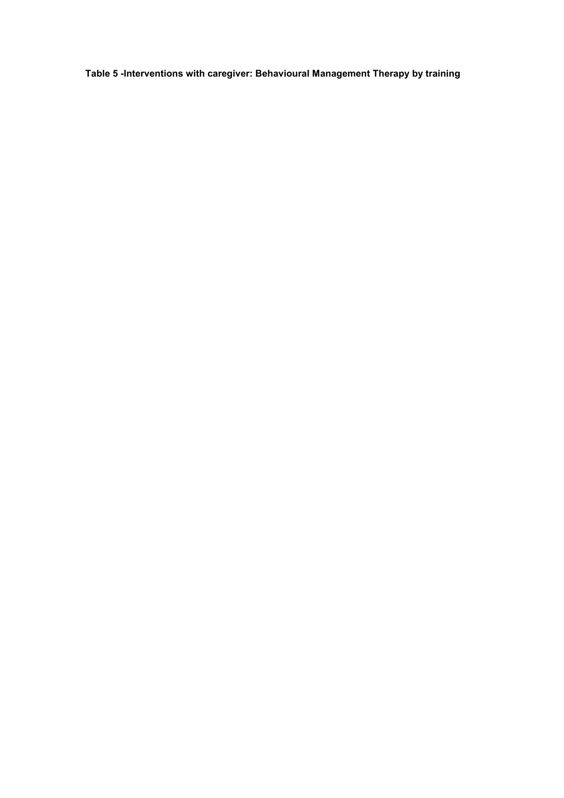Table 5 -Interventions with caregiver: Behavioural Management Therapy by training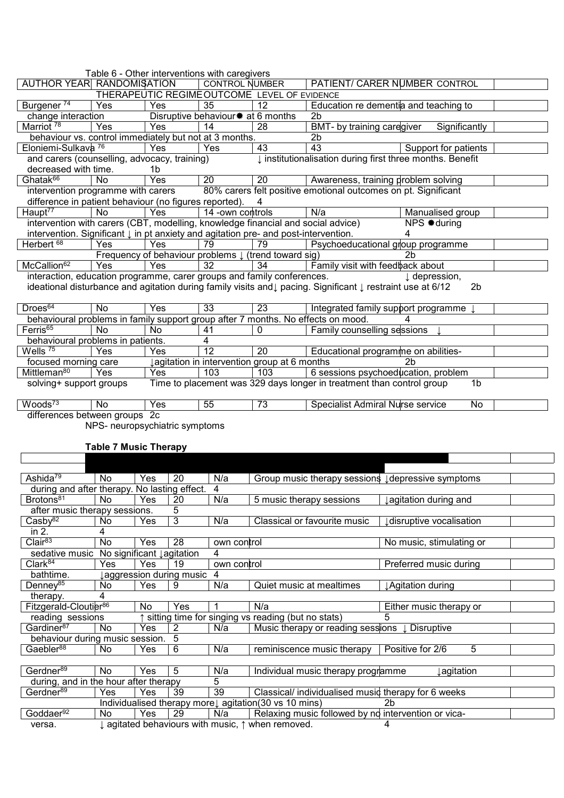|                                                                                                |            | Table 6 - Other interventions with caregivers                   |                                      |                                             |                                                                                                            |                          |                |  |  |  |
|------------------------------------------------------------------------------------------------|------------|-----------------------------------------------------------------|--------------------------------------|---------------------------------------------|------------------------------------------------------------------------------------------------------------|--------------------------|----------------|--|--|--|
| AUTHOR YEAR RANDOMISATION                                                                      |            |                                                                 | <b>CONTROL NUMBER</b>                |                                             | PATIENT/ CARER NUMBER CONTROL                                                                              |                          |                |  |  |  |
|                                                                                                |            | THERAPEUTIC REGIMEOUTCOME LEVEL OF EVIDENCE                     |                                      |                                             |                                                                                                            |                          |                |  |  |  |
| Burgener <sup>74</sup>                                                                         | Yes        | Yes                                                             | 35                                   | 12                                          | Education re dementia and teaching to                                                                      |                          |                |  |  |  |
| change interaction                                                                             |            |                                                                 | Disruptive behaviour $*$ at 6 months |                                             | 2 <sub>b</sub>                                                                                             |                          |                |  |  |  |
| Marriot <sup>78</sup>                                                                          | <b>Yes</b> | Yes                                                             | 14                                   | 28                                          | BMT- by training caregiver                                                                                 | Significantly            |                |  |  |  |
| behaviour vs. control immediately but not at 3 months.                                         |            |                                                                 |                                      |                                             | 2b                                                                                                         |                          |                |  |  |  |
| Eloniemi-Sulkava <sup>76</sup>                                                                 |            | Yes                                                             | Yes                                  | 43                                          | 43                                                                                                         | Support for patients     |                |  |  |  |
| and carers (counselling, advocacy, training)                                                   |            |                                                                 |                                      |                                             | I institutionalisation during first three months. Benefit                                                  |                          |                |  |  |  |
| decreased with time.<br>1b                                                                     |            |                                                                 |                                      |                                             |                                                                                                            |                          |                |  |  |  |
| Ghatak <sup>66</sup>                                                                           | <b>No</b>  | Yes                                                             | $\overline{20}$                      | 20                                          | Awareness, training problem solving                                                                        |                          |                |  |  |  |
| intervention programme with carers                                                             |            |                                                                 |                                      |                                             | 80% carers felt positive emotional outcomes on pt. Significant                                             |                          |                |  |  |  |
| difference in patient behaviour (no figures reported).                                         |            |                                                                 |                                      | 4                                           |                                                                                                            |                          |                |  |  |  |
| Haupt <sup>77</sup>                                                                            | <b>No</b>  | Yes                                                             | 14 - own controls                    |                                             | N/a                                                                                                        | Manualised group         |                |  |  |  |
| intervention with carers (CBT, modelling, knowledge financial and social advice)               |            |                                                                 |                                      |                                             |                                                                                                            | NPS #during              |                |  |  |  |
| intervention. Significant $\downarrow$ in pt anxiety and agitation pre- and post-intervention. |            |                                                                 |                                      |                                             |                                                                                                            | 4                        |                |  |  |  |
| Herbert <sup>68</sup>                                                                          | Yes        | Yes                                                             | 79                                   | 79                                          | Psychoeducational group programme                                                                          |                          |                |  |  |  |
|                                                                                                |            | Frequency of behaviour problems $\downarrow$ (trend toward sig) |                                      |                                             |                                                                                                            | 2 <sub>b</sub>           |                |  |  |  |
| McCallion <sup>62</sup>                                                                        | Yes        | Yes                                                             | 32                                   | 34                                          | Family visit with feedback about                                                                           |                          |                |  |  |  |
| interaction, education programme, carer groups and family conferences.                         |            |                                                                 |                                      |                                             |                                                                                                            | $\downarrow$ depression, |                |  |  |  |
|                                                                                                |            |                                                                 |                                      |                                             | ideational disturbance and agitation during family visits and↓ pacing. Significant ↓ restraint use at 6/12 |                          | 2 <sub>b</sub> |  |  |  |
|                                                                                                |            |                                                                 |                                      |                                             |                                                                                                            |                          |                |  |  |  |
| Droes <sup>64</sup>                                                                            | <b>No</b>  | Yes                                                             | $\overline{33}$                      | 23                                          | Integrated family support programme                                                                        |                          |                |  |  |  |
| behavioural problems in family support group after 7 months. No effects on mood.               |            |                                                                 |                                      |                                             |                                                                                                            |                          |                |  |  |  |
| Ferris <sup>65</sup>                                                                           | <b>No</b>  | <b>No</b>                                                       | 41                                   | 0                                           | Family counselling sessions                                                                                |                          |                |  |  |  |
| behavioural problems in patients.                                                              |            |                                                                 | 4                                    |                                             |                                                                                                            |                          |                |  |  |  |
| Wells <sup>75</sup>                                                                            | Yes        | Yes                                                             | 12                                   | 20                                          | Educational programme on abilities-                                                                        |                          |                |  |  |  |
| focused morning care                                                                           |            |                                                                 |                                      | agitation in intervention group at 6 months |                                                                                                            | 2 <sub>b</sub>           |                |  |  |  |
| Mittleman <sup>80</sup>                                                                        | Yes        | Yes                                                             | 103                                  | 103                                         | 6 sessions psychoeducation, problem                                                                        |                          |                |  |  |  |
| solving+ support groups                                                                        |            |                                                                 |                                      |                                             | Time to placement was 329 days longer in treatment than control group                                      |                          | 1 <sub>b</sub> |  |  |  |
|                                                                                                |            |                                                                 |                                      |                                             |                                                                                                            |                          |                |  |  |  |
| Woods <sup>73</sup>                                                                            | <b>No</b>  | Yes                                                             | 55                                   | 73                                          | Specialist Admiral Nurse service                                                                           |                          | <b>No</b>      |  |  |  |

differences between groups 2c

NPS- neuropsychiatric symptoms

# Table 7 Music Therapy

| Ashida <sup>79</sup>                         | No        | Yes | 20                      | N/a             | Group music therapy sessions I depressive symptoms        |                          |
|----------------------------------------------|-----------|-----|-------------------------|-----------------|-----------------------------------------------------------|--------------------------|
| during and after therapy. No lasting effect. |           |     |                         | 4               |                                                           |                          |
| Brotons <sup>81</sup>                        | <b>No</b> | Yes | 20                      | N/a             | 5 music therapy sessions                                  | ↓agitation during and    |
| after music therapy sessions.                |           |     | 5                       |                 |                                                           |                          |
| Casby <sup>82</sup>                          | No        | Yes | 3                       | N/a             | Classical or favourite music                              | disruptive vocalisation  |
| in $2.$                                      | 4         |     |                         |                 |                                                           |                          |
| Clair <sup>83</sup>                          | <b>No</b> | Yes | 28                      | own control     |                                                           | No music, stimulating or |
| sedative music No significant lagitation     |           |     |                         | 4               |                                                           |                          |
| Clark <sup>84</sup>                          | Yes       | Yes | 19                      | own control     |                                                           | Preferred music during   |
| bathtime.                                    |           |     | aggression during music | 4               |                                                           |                          |
| Denney <sup>85</sup>                         | No        | Yes | 9                       | N/a             | Quiet music at mealtimes                                  | ↓ Agitation during       |
|                                              |           |     |                         |                 |                                                           |                          |
| therapy.                                     | 4         |     |                         |                 |                                                           |                          |
| Fitzgerald-Cloutier <sup>86</sup>            |           | No  | Yes                     |                 | N/a                                                       | Either music therapy or  |
| reading sessions                             |           |     |                         |                 | sitting time for singing vs reading (but no stats)        | 5                        |
| Gardiner <sup>87</sup>                       | No        | Yes | 2                       | N/a             | Music therapy or reading sessions $\downarrow$ Disruptive |                          |
| behaviour during music session.              |           |     | 5                       |                 |                                                           |                          |
| Gaebler <sup>88</sup>                        | No.       | Yes | 6                       | N/a             | reminiscence music therapy                                | 5<br>Positive for 2/6    |
|                                              |           |     |                         |                 |                                                           |                          |
| Gerdner <sup>89</sup>                        | <b>No</b> | Yes | 5                       | N/a             | Individual music therapy programme                        | ⊥agitation               |
| during, and in the hour after therapy        |           |     |                         | 5               |                                                           |                          |
| Gerdner <sup>89</sup>                        | Yes       | Yes | 39                      | $\overline{39}$ | Classical/ individualised music therapy for 6 weeks       |                          |
|                                              |           |     |                         |                 | Individualised therapy morel agitation (30 vs 10 mins)    | 2b                       |
| Goddaer <sup>92</sup>                        | No.       | Yes | 29                      | N/a             | Relaxing music followed by no intervention or vica-       |                          |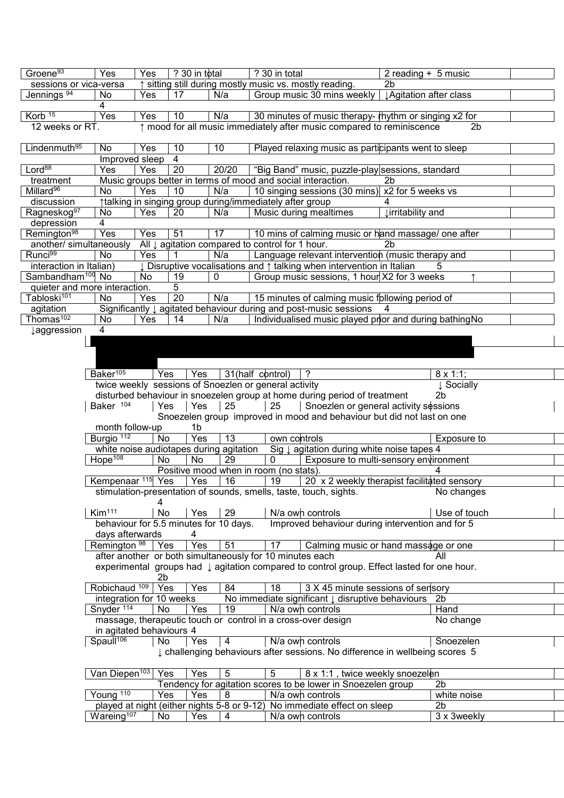| Groene <sup>93</sup>          | Yes                          | Yes       | ? 30 in total                           |       | ? 30 in total                                                |                                                                                                       | 2 reading + 5 music |                               |  |
|-------------------------------|------------------------------|-----------|-----------------------------------------|-------|--------------------------------------------------------------|-------------------------------------------------------------------------------------------------------|---------------------|-------------------------------|--|
| sessions or vica-versa        |                              |           |                                         |       | ↑ sitting still during mostly music vs. mostly reading.      |                                                                                                       | 2 <sub>b</sub>      |                               |  |
| Jennings <sup>94</sup>        | No.                          | Yes       | 17                                      | N/a   |                                                              | Group music 30 mins weekly   JAgitation after class                                                   |                     |                               |  |
|                               | 4                            |           |                                         |       |                                                              |                                                                                                       |                     |                               |  |
| Korb <sup>15</sup>            | Yes                          | Yes       | 10                                      | N/a   |                                                              | 30 minutes of music therapy- rhythm or singing x2 for                                                 |                     |                               |  |
| 12 weeks or RT.               |                              |           |                                         |       |                                                              | ↑ mood for all music immediately after music compared to reminiscence                                 |                     | 2b                            |  |
|                               |                              |           |                                         |       |                                                              |                                                                                                       |                     |                               |  |
| Lindenmuth <sup>95</sup>      | No.                          | Yes       | 10                                      | 10    |                                                              | Played relaxing music as participants went to sleep                                                   |                     |                               |  |
|                               | Improved sleep               |           | 4                                       |       |                                                              |                                                                                                       |                     |                               |  |
| Lord <sup>88</sup>            | Yes                          | Yes       | 20                                      | 20/20 |                                                              | "Big Band" music, puzzle-play sessions, standard                                                      |                     |                               |  |
| treatment                     |                              |           |                                         |       | Music groups better in terms of mood and social interaction. |                                                                                                       | 2b                  |                               |  |
| Millard <sup>96</sup>         | No                           | Yes       | 10                                      | N/a   |                                                              | 10 singing sessions (30 mins) x2 for 5 weeks vs                                                       |                     |                               |  |
| discussion                    |                              |           |                                         |       | talking in singing group during/immediately after group      |                                                                                                       |                     |                               |  |
| Ragneskog <sup>97</sup>       | No                           | Yes       | 20                                      | N/a   | Music during mealtimes                                       |                                                                                                       | ↓irritability and   |                               |  |
| depression                    | $\overline{4}$               |           |                                         |       |                                                              |                                                                                                       |                     |                               |  |
| Remington <sup>98</sup>       | Yes                          | Yes       | 51                                      | 17    |                                                              | 10 mins of calming music or hand massage/ one after                                                   |                     |                               |  |
| another/ simultaneously       |                              |           |                                         |       | All $\downarrow$ agitation compared to control for 1 hour.   |                                                                                                       | 2b                  |                               |  |
| Runci <sup>99</sup>           | No                           | Yes       |                                         | N/a   |                                                              | Language relevant intervention (music therapy and                                                     |                     |                               |  |
| interaction in Italian)       |                              |           |                                         |       |                                                              | Disruptive vocalisations and $\uparrow$ talking when intervention in Italian                          |                     |                               |  |
| Sambandham <sup>100</sup> No  |                              | <b>No</b> | 19                                      | 0     |                                                              | Group music sessions, 1 hour X2 for 3 weeks                                                           |                     |                               |  |
| quieter and more interaction. |                              |           | 5                                       |       |                                                              |                                                                                                       |                     |                               |  |
| Tabloski <sup>101</sup>       | No                           | Yes       | 20                                      | N/a   |                                                              | 15 minutes of calming music following period of                                                       |                     |                               |  |
| agitation                     |                              |           |                                         |       |                                                              | Significantly $\downarrow$ agitated behaviour during and post-music sessions                          | $\overline{4}$      |                               |  |
| Thomas <sup>102</sup>         | No                           | Yes       | 14                                      | N/a   |                                                              | Individualised music played prior and during bathing No                                               |                     |                               |  |
| <i>l</i> aggression           | 4                            |           |                                         |       |                                                              |                                                                                                       |                     |                               |  |
|                               |                              |           |                                         |       |                                                              |                                                                                                       |                     |                               |  |
|                               |                              |           |                                         |       |                                                              |                                                                                                       |                     |                               |  |
|                               |                              |           |                                         |       |                                                              |                                                                                                       |                     |                               |  |
|                               | Baker <sup>105</sup>         | Yes       | Yes                                     |       | 31(half control)                                             | ?                                                                                                     |                     | $8 \times 1:1$ ;              |  |
|                               |                              |           |                                         |       | twice weekly sessions of Snoezlen or general activity        |                                                                                                       |                     | ↓ Socially                    |  |
|                               |                              |           |                                         |       |                                                              | disturbed behaviour in snoezelen group at home during period of treatment                             |                     | 2 <sub>b</sub>                |  |
|                               | Baker 104                    | Yes       | Yes                                     | 25    | 25                                                           | Snoezlen or general activity sessions                                                                 |                     |                               |  |
|                               |                              |           |                                         |       |                                                              | Snoezelen group improved in mood and behaviour but did not last on one                                |                     |                               |  |
|                               | month follow-up              |           | 1 <sub>b</sub>                          |       |                                                              |                                                                                                       |                     |                               |  |
|                               | Burgio <sup>112</sup>        | No        | Yes                                     | 13    | own controls                                                 |                                                                                                       |                     | Exposure to                   |  |
|                               |                              |           | white noise audiotapes during agitation |       |                                                              | Sig $\downarrow$ agitation during white noise tapes 4                                                 |                     |                               |  |
|                               | Hope <sup>108</sup>          | No        | No                                      | 29    | 0                                                            | Exposure to multi-sensory environment                                                                 |                     |                               |  |
|                               |                              |           |                                         |       | Positive mood when in room (no stats).                       |                                                                                                       |                     |                               |  |
|                               | Kempenaar <sup>115</sup> Yes |           | Yes                                     | 16    | 19                                                           | 20 x 2 weekly therapist facilitated sensory                                                           |                     |                               |  |
|                               |                              |           |                                         |       |                                                              | stimulation-presentation of sounds, smells, taste, touch, sights. No changes                          |                     |                               |  |
|                               |                              | 4         |                                         |       |                                                              |                                                                                                       |                     |                               |  |
|                               | Kim <sup>111</sup>           | No        | Yes                                     | 29    | N/a own controls                                             |                                                                                                       |                     | Use of touch                  |  |
|                               |                              |           | behaviour for 5.5 minutes for 10 days.  |       |                                                              | Improved behaviour during intervention and for 5                                                      |                     |                               |  |
|                               | days afterwards              |           | 4                                       |       |                                                              |                                                                                                       |                     |                               |  |
|                               | Remington $98$   Yes         |           | Yes                                     | 51    | 17                                                           | Calming music or hand massage or one                                                                  |                     |                               |  |
|                               |                              |           |                                         |       | after another or both simultaneously for 10 minutes each     |                                                                                                       |                     | All                           |  |
|                               |                              |           |                                         |       |                                                              | experimental groups had $\downarrow$ agitation compared to control group. Effect lasted for one hour. |                     |                               |  |
|                               |                              | 2b        |                                         |       |                                                              |                                                                                                       |                     |                               |  |
|                               | Robichaud <sup>109</sup>     | Yes       | Yes                                     | 84    | $\overline{18}$                                              | 3 X 45 minute sessions of sensory                                                                     |                     |                               |  |
|                               | integration for 10 weeks     |           |                                         |       |                                                              | No immediate significant $\downarrow$ disruptive behaviours                                           |                     | 2 <sub>b</sub>                |  |
|                               | Snyder <sup>114</sup>        | No        | Yes                                     | 19    | N/a own controls                                             |                                                                                                       |                     | Hand                          |  |
|                               |                              |           |                                         |       | massage, therapeutic touch or control in a cross-over design |                                                                                                       |                     | No change                     |  |
|                               | in agitated behaviours 4     |           |                                         |       |                                                              |                                                                                                       |                     |                               |  |
|                               | Spaull <sup>106</sup>        |           |                                         |       |                                                              |                                                                                                       |                     |                               |  |
|                               |                              |           |                                         |       |                                                              |                                                                                                       |                     |                               |  |
|                               |                              | No        | Yes                                     | 4     |                                                              | N/a own controls                                                                                      |                     | Snoezelen                     |  |
|                               |                              |           |                                         |       |                                                              | I challenging behaviours after sessions. No difference in wellbeing scores 5                          |                     |                               |  |
|                               |                              |           |                                         |       |                                                              |                                                                                                       |                     |                               |  |
|                               | Van Diepen <sup>103</sup>    | Yes       | Yes                                     | 5     | 5                                                            | 8 x 1:1, twice weekly snoezelen                                                                       |                     |                               |  |
|                               |                              |           |                                         |       |                                                              | Tendency for agitation scores to be lower in Snoezelen group                                          |                     | 2 <sub>b</sub>                |  |
|                               | Young <sup>110</sup>         | Yes       | Yes                                     | 8     | N/a own controls                                             |                                                                                                       |                     | white noise                   |  |
|                               | Wareing <sup>107</sup>       | No        | Yes                                     | 4     | N/a own controls                                             | played at night (either nights 5-8 or 9-12) No immediate effect on sleep                              |                     | 2 <sub>b</sub><br>3 x 3weekly |  |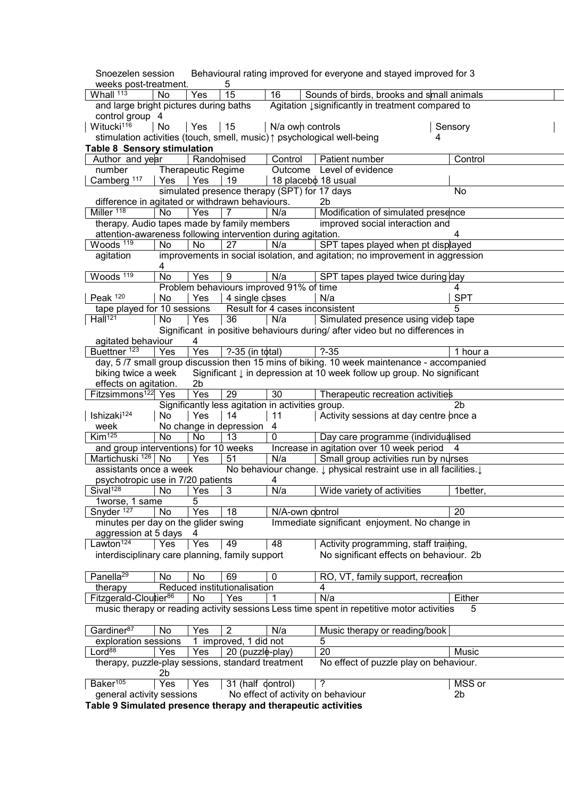| Snoezelen session                                              |     |                           |                              |                                                   | Behavioural rating improved for everyone and stayed improved for 3                        |   |                |
|----------------------------------------------------------------|-----|---------------------------|------------------------------|---------------------------------------------------|-------------------------------------------------------------------------------------------|---|----------------|
| weeks post-treatment.                                          |     |                           | 5                            |                                                   |                                                                                           |   |                |
| Whall 113                                                      | No  | Yes                       | 15                           | $\overline{16}$                                   | Sounds of birds, brooks and small animals                                                 |   |                |
| and large bright pictures during baths                         |     |                           |                              |                                                   | Agitation Isignificantly in treatment compared to                                         |   |                |
| control group 4                                                |     |                           |                              |                                                   |                                                                                           |   |                |
| Witucki <sup>116</sup>                                         | No  | Yes                       | 15                           | N/a own controls                                  |                                                                                           |   | Sensory        |
|                                                                |     |                           |                              |                                                   | stimulation activities (touch, smell, music) $\uparrow$ psychological well-being          | 4 |                |
| <b>Table 8 Sensory stimulation</b>                             |     |                           |                              |                                                   |                                                                                           |   |                |
| Author and year                                                |     | Randomised                |                              | Control                                           | Patient number                                                                            |   | Control        |
| number                                                         |     | <b>Therapeutic Regime</b> |                              |                                                   | Outcome Level of evidence                                                                 |   |                |
| Camberg <sup>117</sup>                                         | Yes | Yes                       | 19                           | 18 placebo 18 usual                               |                                                                                           |   |                |
|                                                                |     |                           |                              | simulated presence therapy (SPT) for 17 days      |                                                                                           |   | No             |
| difference in agitated or withdrawn behaviours.                |     |                           |                              |                                                   | 2 <sub>b</sub>                                                                            |   |                |
| Miller <sup>118</sup>                                          | No  | Yes                       | 7                            | N/a                                               | Modification of simulated presence                                                        |   |                |
| therapy. Audio tapes made by family members                    |     |                           |                              |                                                   | improved social interaction and                                                           |   |                |
| attention-awareness following intervention during agitation.   |     |                           |                              |                                                   |                                                                                           |   | 4              |
| Woods <sup>119</sup>                                           | No  | No                        | 27                           | N/a                                               | SPT tapes played when pt displayed                                                        |   |                |
| agitation                                                      |     |                           |                              |                                                   | improvements in social isolation, and agitation; no improvement in aggression             |   |                |
|                                                                | 4   |                           |                              |                                                   |                                                                                           |   |                |
| Woods <sup>119</sup>                                           | No  | Yes                       | $\overline{9}$               | N/a                                               | SPT tapes played twice during day                                                         |   |                |
|                                                                |     |                           |                              | Problem behaviours improved 91% of time           |                                                                                           |   | 4              |
| Peak 120                                                       | No  | Yes                       | 4 single cases               |                                                   | N/a                                                                                       |   | <b>SPT</b>     |
| tape played for 10 sessions                                    |     |                           |                              | Result for 4 cases inconsistent                   |                                                                                           |   | 5              |
| $Ha\overline{\ 1^{21}}$                                        | No  | Yes                       | 36                           | N/a                                               | Simulated presence using videb tape                                                       |   |                |
|                                                                |     |                           |                              |                                                   | Significant in positive behaviours during/ after video but no differences in              |   |                |
| agitated behaviour                                             |     | 4                         |                              |                                                   |                                                                                           |   |                |
| Buettner <sup>123</sup>                                        | Yes | Yes                       | ?-35 (in total)              |                                                   | $? - 35$                                                                                  |   | 1 hour a       |
|                                                                |     |                           |                              |                                                   | day, 5/7 small group discussion then 15 mins of biking. 10 week maintenance - accompanied |   |                |
| biking twice a week                                            |     |                           |                              |                                                   | Significant ↓ in depression at 10 week follow up group. No significant                    |   |                |
| effects on agitation.                                          |     | 2 <sub>b</sub>            |                              |                                                   |                                                                                           |   |                |
| Fitzsimmons <sup>122</sup> Yes                                 |     | Yes                       | 29                           | 30                                                | Therapeutic recreation activities                                                         |   |                |
|                                                                |     |                           |                              | Significantly less agitation in activities group. |                                                                                           |   | 2 <sub>b</sub> |
|                                                                |     |                           |                              |                                                   |                                                                                           |   |                |
| Ishizaki <sup>124</sup>                                        | No  | Yes                       | 14                           | 11                                                | Activity sessions at day centre once a                                                    |   |                |
| week<br>K <sub>im125</sub>                                     |     |                           | No change in depression      | $\overline{4}$<br>$\overline{0}$                  |                                                                                           |   |                |
|                                                                | No  | No                        | 13                           |                                                   | Day care programme (individualised                                                        |   |                |
| and group interventions) for 10 weeks                          |     |                           |                              |                                                   | Increase in agitation over 10 week period                                                 |   | $\overline{4}$ |
| Martichuski <sup>126</sup> No                                  |     | Yes                       | 51                           | N/a                                               | Small group activities run by nurses                                                      |   |                |
| assistants once a week                                         |     |                           |                              |                                                   | No behaviour change. $\downarrow$ physical restraint use in all facilities. $\downarrow$  |   |                |
| psychotropic use in 7/20 patients                              |     |                           |                              | 4                                                 |                                                                                           |   |                |
| $S$ ival <sup>128</sup>                                        | No  | Yes                       | 3                            | N/a                                               | Wide variety of activities                                                                |   | 1better,       |
| 1worse, 1 same                                                 |     | 5                         |                              |                                                   |                                                                                           |   |                |
| Snyder <sup>127</sup>                                          | No  | Yes                       | 18                           | N/A-own dontrol                                   |                                                                                           |   | 20             |
| minutes per day on the glider swing                            |     |                           |                              |                                                   | Immediate significant enjoyment. No change in                                             |   |                |
| aggression at 5 days                                           |     | 4                         |                              |                                                   |                                                                                           |   |                |
| Lawton <sup>124</sup>                                          | Yes | Yes                       | 49                           | 48                                                | Activity programming, staff training,                                                     |   |                |
| interdisciplinary care planning, family support                |     |                           |                              |                                                   | No significant effects on behaviour. 2b                                                   |   |                |
|                                                                |     |                           |                              |                                                   |                                                                                           |   |                |
| Panella <sup>29</sup>                                          | No  | No                        | 69                           | 0                                                 | RO, VT, family support, recreation                                                        |   |                |
| therapy                                                        |     |                           | Reduced institutionalisation |                                                   | 4                                                                                         |   |                |
| Fitzgerald-Cloutier <sup>86</sup>                              |     | No                        | Yes                          |                                                   | N/a                                                                                       |   | Either         |
|                                                                |     |                           |                              |                                                   | music therapy or reading activity sessions Less time spent in repetitive motor activities |   | 5              |
|                                                                |     |                           |                              |                                                   |                                                                                           |   |                |
| Gardiner <sup>87</sup>                                         | No  | Yes                       | $\overline{2}$               | N/a                                               | Music therapy or reading/book                                                             |   |                |
| exploration sessions                                           |     |                           | 1 improved, 1 did not        |                                                   | 5                                                                                         |   |                |
| Lord <sup>88</sup>                                             | Yes | Yes                       | 20 (puzzle-play)             |                                                   | $\overline{20}$                                                                           |   | Music          |
| therapy, puzzle-play sessions, standard treatment              |     |                           |                              |                                                   | No effect of puzzle play on behaviour.                                                    |   |                |
|                                                                | 2b  |                           |                              |                                                   |                                                                                           |   |                |
| Baker <sup>105</sup>                                           | Yes | Yes                       | 31 (half dontrol)            |                                                   | ?                                                                                         |   | MSS or         |
| general activity sessions                                      |     |                           |                              |                                                   | No effect of activity on behaviour                                                        |   | 2 <sub>b</sub> |
| Table 8 Simulated processes therapy and therapoutic activities |     |                           |                              |                                                   |                                                                                           |   |                |

Table 9 Simulated presence therapy and therapeutic activities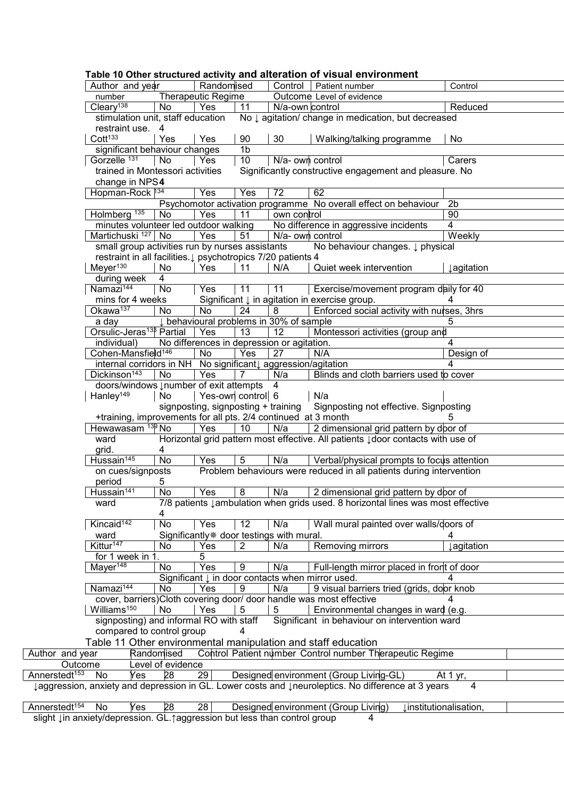|                           |                                              |     |                                                    |                                     |                 | slight Lin anxiety/depression. GL. taggression but less than control group | 4                                                                                                  |                        |                   |
|---------------------------|----------------------------------------------|-----|----------------------------------------------------|-------------------------------------|-----------------|----------------------------------------------------------------------------|----------------------------------------------------------------------------------------------------|------------------------|-------------------|
| Annerstedt <sup>154</sup> | No                                           | Yes | 28                                                 | 28                                  |                 |                                                                            | Designed environment (Group Living)                                                                | linstitutionalisation, |                   |
|                           |                                              |     |                                                    |                                     |                 |                                                                            | laggression, anxiety and depression in GL. Lower costs and lneuroleptics. No difference at 3 years |                        | 4                 |
| Annerstedt <sup>153</sup> | No                                           | Yes | 28                                                 | 29                                  |                 |                                                                            | Designed environment (Group Living-GL)                                                             | At 1 yr,               |                   |
| Outcome                   |                                              |     | Level of evidence                                  |                                     |                 |                                                                            |                                                                                                    |                        |                   |
| Author and year           |                                              |     | Randomised                                         |                                     |                 |                                                                            | Control Patient number Control number Therapeutic Regime                                           |                        |                   |
|                           |                                              |     |                                                    |                                     |                 |                                                                            | Table 11 Other environmental manipulation and staff education                                      |                        |                   |
|                           |                                              |     | compared to control group                          |                                     |                 |                                                                            |                                                                                                    |                        |                   |
|                           |                                              |     | signposting) and informal RO with staff            |                                     |                 |                                                                            | Significant in behaviour on intervention ward                                                      |                        |                   |
|                           | Williams <sup>150</sup>                      |     | No                                                 | Yes                                 | 5               | 5                                                                          | Environmental changes in ward (e.g.                                                                |                        |                   |
|                           |                                              |     |                                                    |                                     |                 |                                                                            | cover, barriers)Cloth covering door/ door handle was most effective                                |                        |                   |
|                           | Namazi <sup>144</sup>                        |     | No                                                 | Yes                                 | 9               | N/a                                                                        | 9 visual barriers tried (grids, door knob                                                          |                        |                   |
|                           |                                              |     |                                                    |                                     |                 |                                                                            | Significant $\downarrow$ in door contacts when mirror used.                                        |                        |                   |
|                           | Mayer <sup>148</sup>                         |     | No                                                 | Yes                                 | 9               | N/a                                                                        | Full-length mirror placed in front of door                                                         |                        |                   |
|                           | for 1 week in 1.                             |     |                                                    | 5                                   |                 |                                                                            |                                                                                                    |                        |                   |
|                           | Kittur <sup>147</sup>                        |     | No                                                 | Yes                                 | $\overline{2}$  | N/a                                                                        | Removing mirrors                                                                                   |                        | <i>Jagitation</i> |
|                           | ward                                         |     |                                                    |                                     |                 | Significantly* door testings with mural.                                   |                                                                                                    |                        |                   |
|                           | Kincaid <sup>142</sup>                       |     | No                                                 | Yes                                 | 12              | N/a                                                                        | Wall mural painted over walls/doors of                                                             |                        |                   |
|                           |                                              |     | 4                                                  |                                     |                 |                                                                            |                                                                                                    |                        |                   |
|                           | ward                                         |     |                                                    |                                     |                 |                                                                            | 7/8 patients Jambulation when grids used. 8 horizontal lines was most effective                    |                        |                   |
|                           | Hussain <sup>141</sup>                       |     | No                                                 | Yes                                 | 8               | N/a                                                                        | 2 dimensional grid pattern by door of                                                              |                        |                   |
|                           | period                                       |     | 5                                                  |                                     |                 |                                                                            |                                                                                                    |                        |                   |
|                           | on cues/signposts                            |     |                                                    |                                     |                 |                                                                            | Problem behaviours were reduced in all patients during intervention                                |                        |                   |
|                           | Hussain <sup>145</sup>                       |     | <b>No</b>                                          | Yes                                 | 5               | N/a                                                                        | Verbal/physical prompts to focus attention                                                         |                        |                   |
|                           | grid.                                        |     | 4                                                  |                                     |                 |                                                                            |                                                                                                    |                        |                   |
|                           | ward                                         |     |                                                    |                                     |                 |                                                                            | Horizontal grid pattern most effective. All patients J door contacts with use of                   |                        |                   |
|                           | Hewawasam 139 No                             |     |                                                    | Yes                                 | 10              | N/a                                                                        | 2 dimensional grid pattern by door of                                                              |                        |                   |
|                           |                                              |     |                                                    |                                     |                 | +training, improvements for all pts. 2/4 continued at 3 month              |                                                                                                    |                        |                   |
|                           |                                              |     |                                                    | signposting, signposting + training |                 |                                                                            | Signposting not effective. Signposting                                                             |                        |                   |
|                           | Hanley <sup>149</sup>                        |     | No                                                 | Yes-own control 6                   |                 |                                                                            | N/a                                                                                                |                        |                   |
|                           |                                              |     | doors/windows $\downarrow$ number of exit attempts |                                     |                 | 4                                                                          |                                                                                                    |                        |                   |
|                           | Dickinson <sup>143</sup>                     |     | No                                                 | Yes                                 | $\overline{7}$  | N/a                                                                        | Blinds and cloth barriers used to cover                                                            |                        |                   |
|                           |                                              |     |                                                    |                                     |                 | internal corridors in NH No significant aggression/agitation               |                                                                                                    |                        |                   |
|                           | Cohen-Mansfield <sup>146</sup>               |     |                                                    | No                                  | Yes             | 27                                                                         | N/A                                                                                                |                        | Design of         |
|                           | individual)                                  |     |                                                    | Yes                                 |                 | No differences in depression or agitation.                                 | Montessori activities (group and                                                                   | 4                      |                   |
|                           | a day<br>Orsulic-Jeras <sup>13</sup> Partial |     |                                                    |                                     | 13              | p behavioural problems in 30% of sample<br>12                              |                                                                                                    | 5                      |                   |
|                           | Okawa <sup>137</sup>                         |     | No.                                                | No                                  | 24              | 8                                                                          | Enforced social activity with nurses, 3hrs                                                         |                        |                   |
|                           | mins for 4 weeks                             |     |                                                    |                                     |                 |                                                                            | Significant $\downarrow$ in agitation in exercise group.                                           |                        |                   |
|                           | Namazi <sup>144</sup>                        |     | No                                                 | Yes                                 | $\overline{11}$ | 11                                                                         | Exercise/movement program daily for 40                                                             |                        |                   |
|                           | during week                                  |     | $\overline{4}$                                     |                                     |                 |                                                                            |                                                                                                    |                        |                   |
|                           | Meyer <sup>130</sup>                         |     | No                                                 | Yes                                 | 11              | N/A                                                                        | Quiet week intervention                                                                            |                        | <b>Jagitation</b> |
|                           |                                              |     |                                                    |                                     |                 | restraint in all facilities. Į psychotropics 7/20 patients 4               |                                                                                                    |                        |                   |
|                           |                                              |     | small group activities run by nurses assistants    |                                     |                 |                                                                            | No behaviour changes. $\downarrow$ physical                                                        |                        |                   |
|                           | Martichuski <sup>127</sup> No                |     |                                                    | Yes                                 | 51              | N/a- own control                                                           |                                                                                                    |                        | Weekly            |
|                           |                                              |     | minutes volunteer led outdoor walking              |                                     |                 |                                                                            | No difference in aggressive incidents                                                              | 4                      |                   |
|                           | Holmberg <sup>135</sup>                      |     | No                                                 | Yes                                 | 11              | own control                                                                |                                                                                                    | 90                     |                   |
|                           |                                              |     |                                                    |                                     |                 |                                                                            | Psychomotor activation programme No overall effect on behaviour                                    | 2 <sub>b</sub>         |                   |
|                           | Hopman-Rock <sup>134</sup>                   |     |                                                    | Yes                                 | Yes             | 72                                                                         | 62                                                                                                 |                        |                   |
|                           | change in NPS4                               |     |                                                    |                                     |                 |                                                                            |                                                                                                    |                        |                   |
|                           |                                              |     | trained in Montessori activities                   |                                     |                 |                                                                            | Significantly constructive engagement and pleasure. No                                             |                        |                   |
|                           | Gorzelle 131                                 |     | No                                                 | Yes                                 | 10              | N/a- own control                                                           |                                                                                                    |                        | Carers            |
|                           |                                              |     | significant behaviour changes                      |                                     | 1 <sub>b</sub>  |                                                                            |                                                                                                    |                        |                   |
|                           | Cott <sup>133</sup>                          |     | Yes                                                | Yes                                 | 90              | 30                                                                         | Walking/talking programme                                                                          |                        | No                |
|                           | restraint use. 4                             |     | stimulation unit, staff education                  |                                     |                 |                                                                            | No $\downarrow$ agitation/ change in medication, but decreased                                     |                        |                   |
|                           | $C$ leary <sup>138</sup>                     |     | No                                                 | Yes                                 | 11              | N/a-own control                                                            |                                                                                                    |                        | Reduced           |
|                           | number                                       |     |                                                    | <b>Therapeutic Regime</b>           |                 |                                                                            | Outcome Level of evidence                                                                          |                        |                   |
|                           | Author and year                              |     |                                                    | Randomised                          |                 | Control                                                                    | Patient number                                                                                     |                        | Control           |
|                           |                                              |     |                                                    |                                     |                 |                                                                            | rable to Other Structured activity and afteration of visual environment                            |                        |                   |

# Table 10 Other structured activity and alteration of visual environment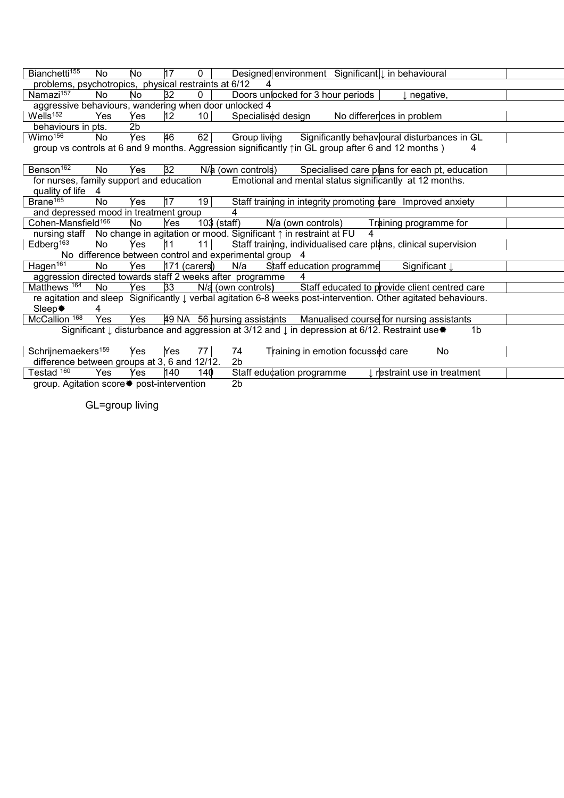| Bianchetti <sup>155</sup>                             | No        | No             | 17              | $0-1$           |                                                                                 |                |                                   | Designed environment Significant   in behavioural                                                                          |    |  |
|-------------------------------------------------------|-----------|----------------|-----------------|-----------------|---------------------------------------------------------------------------------|----------------|-----------------------------------|----------------------------------------------------------------------------------------------------------------------------|----|--|
| problems, psychotropics, physical restraints at 6/12  |           |                |                 |                 | 4                                                                               |                |                                   |                                                                                                                            |    |  |
| Namazi <sup>157</sup>                                 | No.       | No.            | 32              | $\mathbf{0}$    | Doors unlocked for 3 hour periods                                               |                |                                   | $\downarrow$ negative,                                                                                                     |    |  |
| aggressive behaviours, wandering when door unlocked 4 |           |                |                 |                 |                                                                                 |                |                                   |                                                                                                                            |    |  |
| Wells <sup>152</sup>                                  | Yes       | Yes            | 12 <sub>1</sub> | 10 <sup>1</sup> |                                                                                 |                |                                   | Specialised design No differences in problem                                                                               |    |  |
| behaviours in pts.                                    |           | 2 <sub>b</sub> |                 |                 |                                                                                 |                |                                   |                                                                                                                            |    |  |
| Wimo <sup>156</sup>                                   | No.       | Yes            | 46              | 62              |                                                                                 |                |                                   | Group living Significantly behavioural disturbances in GL                                                                  |    |  |
|                                                       |           |                |                 |                 |                                                                                 |                |                                   | group vs controls at 6 and 9 months. Aggression significantly $\uparrow$ in GL group after 6 and 12 months)                | 4  |  |
| Benson <sup>162</sup>                                 | No        | Yes            | 32 <sub>2</sub> |                 |                                                                                 |                |                                   | $N/a$ (own controls) Specialised care plans for each pt, education                                                         |    |  |
| for nurses, family support and education              |           |                |                 |                 |                                                                                 |                |                                   | Emotional and mental status significantly at 12 months.                                                                    |    |  |
| quality of life 4                                     |           |                |                 |                 |                                                                                 |                |                                   |                                                                                                                            |    |  |
| Brane <sup>165</sup>                                  | No        | Yes            | 17              | 19              |                                                                                 |                |                                   | Staff training in integrity promoting care Improved anxiety                                                                |    |  |
| and depressed mood in treatment group                 |           |                |                 |                 |                                                                                 |                |                                   |                                                                                                                            |    |  |
| Cohen-Mansfield <sup>166</sup>                        |           | No.            | Yes             |                 | $103$ (staff) $N/a$ (own controls)                                              |                |                                   | Training programme for                                                                                                     |    |  |
|                                                       |           |                |                 |                 | nursing staff  No change in agitation or mood. Significant ↑ in restraint at FU |                | 4                                 |                                                                                                                            |    |  |
| Edberg <sup>163</sup>                                 | No        | Yes            | 11              | 11              |                                                                                 |                |                                   | Staff training, individualised care plans, clinical supervision                                                            |    |  |
|                                                       |           |                |                 |                 | No difference between control and experimental group 4                          |                |                                   |                                                                                                                            |    |  |
| Hagen $\overline{161}$                                | No.       | Yes            | $171$ (carers)  |                 | N/a                                                                             |                | Staff education programme         | Significant I                                                                                                              |    |  |
|                                                       |           |                |                 |                 | aggression directed towards staff 2 weeks after programme                       | $\overline{4}$ |                                   |                                                                                                                            |    |  |
| Matthews 164                                          | <b>No</b> | Yes            | 33              |                 |                                                                                 |                |                                   | N/a (own controls) Staff educated to provide client centred care                                                           |    |  |
|                                                       |           |                |                 |                 |                                                                                 |                |                                   | re agitation and sleep Significantly $\downarrow$ verbal agitation 6-8 weeks post-intervention. Other agitated behaviours. |    |  |
| Sleep.                                                | 4         |                |                 |                 |                                                                                 |                |                                   |                                                                                                                            |    |  |
| McCallion 168 Yes                                     |           | Yes            |                 |                 |                                                                                 |                |                                   | 49 NA 56 nursing assistants Manualised course for nursing assistants                                                       |    |  |
|                                                       |           |                |                 |                 |                                                                                 |                |                                   | Significant Į disturbance and aggression at 3/12 and Į in depression at 6/12. Restraint use *                              | 1b |  |
| Schrijnemaekers <sup>159</sup>                        |           | Yes            | Yes             | 77              | 74                                                                              |                | Training in emotion focussed care | No                                                                                                                         |    |  |
| difference between groups at 3, 6 and 12/12.          |           |                |                 |                 | 2 <sub>b</sub>                                                                  |                |                                   |                                                                                                                            |    |  |
| Testad 160                                            | Yes       | Yes            | 140             | 140             | Staff education programme                                                       |                |                                   | I restraint use in treatment                                                                                               |    |  |

group. Agitation score \* post-intervention 2b

GL=group living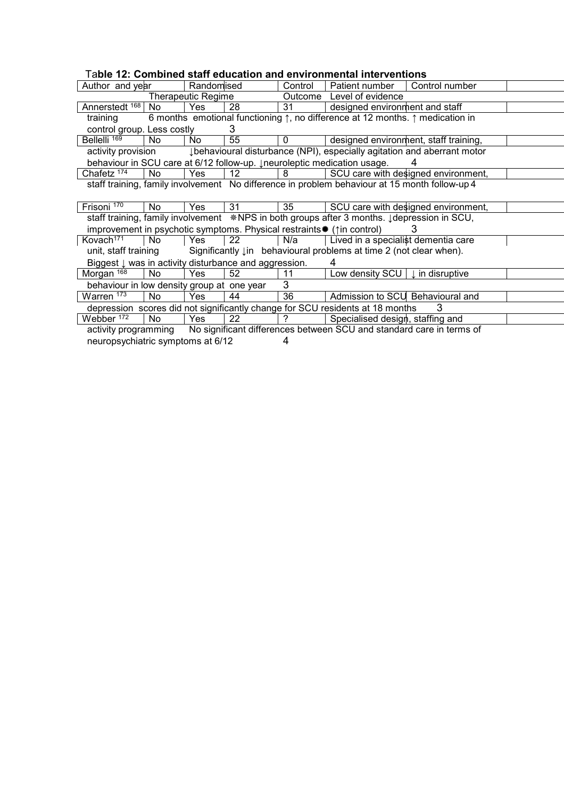| Table 12: Combined staff education and environmental interventions                                           |     |            |                   |                                                                                           |                                                                    |                                     |
|--------------------------------------------------------------------------------------------------------------|-----|------------|-------------------|-------------------------------------------------------------------------------------------|--------------------------------------------------------------------|-------------------------------------|
| Author and year                                                                                              |     | Randomised |                   | Control                                                                                   | Patient number                                                     | Control number                      |
| <b>Therapeutic Regime</b>                                                                                    |     |            |                   |                                                                                           | Outcome Level of evidence                                          |                                     |
| Annerstedt 168   No                                                                                          |     | <b>Yes</b> | 28                | 31                                                                                        | designed environment and staff                                     |                                     |
| 6 months emotional functioning $\uparrow$ , no difference at 12 months. $\uparrow$ medication in<br>training |     |            |                   |                                                                                           |                                                                    |                                     |
| control group. Less costly                                                                                   |     |            | 3                 |                                                                                           |                                                                    |                                     |
| Bellelli <sup>169</sup>                                                                                      | No  | No.        | 55                | $\Omega$                                                                                  | designed environment, staff training,                              |                                     |
| ↓ behavioural disturbance (NPI), especially agitation and aberrant motor<br>activity provision               |     |            |                   |                                                                                           |                                                                    |                                     |
| behaviour in SCU care at 6/12 follow-up. Ineuroleptic medication usage.                                      |     |            |                   |                                                                                           |                                                                    |                                     |
| Chafetz $\overline{174}$                                                                                     | No  | Yes        | 12 <sup>°</sup>   | 8                                                                                         |                                                                    | SCU care with designed environment, |
| staff training, family involvement No difference in problem behaviour at 15 month follow-up 4                |     |            |                   |                                                                                           |                                                                    |                                     |
|                                                                                                              |     |            |                   |                                                                                           |                                                                    |                                     |
| Frisoni <sup>170</sup>                                                                                       | No. | Yes.       | 31                | 35                                                                                        |                                                                    | SCU care with designed environment, |
| staff training, family involvement *NPS in both groups after 3 months. Jdepression in SCU,                   |     |            |                   |                                                                                           |                                                                    |                                     |
| improvement in psychotic symptoms. Physical restraints * (1in control)                                       |     |            |                   |                                                                                           |                                                                    |                                     |
| Kovach <sup>171</sup>                                                                                        | No  | Yes        | $22 \overline{ }$ | N/a                                                                                       | Lived in a specialist dementia care                                |                                     |
| unit, staff training                                                                                         |     |            |                   |                                                                                           | Significantly lin behavioural problems at time 2 (not clear when). |                                     |
| Biggest $\downarrow$ was in activity disturbance and aggression.<br>4                                        |     |            |                   |                                                                                           |                                                                    |                                     |
| Morgan 168                                                                                                   | No  | <b>Yes</b> | 52                | 11                                                                                        | Low density SCU $\vert \downarrow$ in disruptive                   |                                     |
| 3<br>behaviour in low density group at one year                                                              |     |            |                   |                                                                                           |                                                                    |                                     |
| Warren <sup>173</sup>                                                                                        | No  | Yes        | 44                | 36                                                                                        | Admission to SCU Behavioural and                                   |                                     |
| depression scores did not significantly change for SCU residents at 18 months<br>3                           |     |            |                   |                                                                                           |                                                                    |                                     |
| Webber <sup>172</sup>                                                                                        | No  | <b>Yes</b> | 22                | $\gamma$                                                                                  | Specialised design, staffing and                                   |                                     |
|                                                                                                              |     |            |                   | activity programming No significant differences between SCU and standard care in terms of |                                                                    |                                     |
| neuropsychiatric symptoms at 6/12                                                                            |     |            |                   | 4                                                                                         |                                                                    |                                     |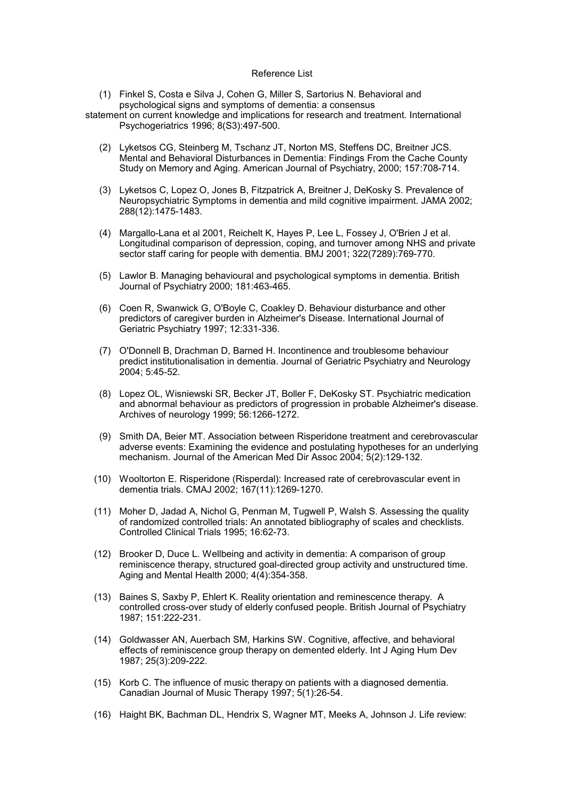#### Reference List

- (1) Finkel S, Costa e Silva J, Cohen G, Miller S, Sartorius N. Behavioral and psychological signs and symptoms of dementia: a consensus
- statement on current knowledge and implications for research and treatment. International Psychogeriatrics 1996; 8(S3):497-500.
	- (2) Lyketsos CG, Steinberg M, Tschanz JT, Norton MS, Steffens DC, Breitner JCS. Mental and Behavioral Disturbances in Dementia: Findings From the Cache County Study on Memory and Aging. American Journal of Psychiatry, 2000; 157:708-714.
	- (3) Lyketsos C, Lopez O, Jones B, Fitzpatrick A, Breitner J, DeKosky S. Prevalence of Neuropsychiatric Symptoms in dementia and mild cognitive impairment. JAMA 2002; 288(12):1475-1483.
	- (4) Margallo-Lana et al 2001, Reichelt K, Hayes P, Lee L, Fossey J, O'Brien J et al. Longitudinal comparison of depression, coping, and turnover among NHS and private sector staff caring for people with dementia. BMJ 2001; 322(7289):769-770.
	- (5) Lawlor B. Managing behavioural and psychological symptoms in dementia. British Journal of Psychiatry 2000; 181:463-465.
	- (6) Coen R, Swanwick G, O'Boyle C, Coakley D. Behaviour disturbance and other predictors of caregiver burden in Alzheimer's Disease. International Journal of Geriatric Psychiatry 1997; 12:331-336.
	- (7) O'Donnell B, Drachman D, Barned H. Incontinence and troublesome behaviour predict institutionalisation in dementia. Journal of Geriatric Psychiatry and Neurology 2004; 5:45-52.
	- (8) Lopez OL, Wisniewski SR, Becker JT, Boller F, DeKosky ST. Psychiatric medication and abnormal behaviour as predictors of progression in probable Alzheimer's disease. Archives of neurology 1999; 56:1266-1272.
	- (9) Smith DA, Beier MT. Association between Risperidone treatment and cerebrovascular adverse events: Examining the evidence and postulating hypotheses for an underlying mechanism. Journal of the American Med Dir Assoc 2004; 5(2):129-132.
	- (10) Wooltorton E. Risperidone (Risperdal): Increased rate of cerebrovascular event in dementia trials. CMAJ 2002; 167(11):1269-1270.
	- (11) Moher D, Jadad A, Nichol G, Penman M, Tugwell P, Walsh S. Assessing the quality of randomized controlled trials: An annotated bibliography of scales and checklists. Controlled Clinical Trials 1995; 16:62-73.
	- (12) Brooker D, Duce L. Wellbeing and activity in dementia: A comparison of group reminiscence therapy, structured goal-directed group activity and unstructured time. Aging and Mental Health 2000; 4(4):354-358.
	- (13) Baines S, Saxby P, Ehlert K. Reality orientation and reminescence therapy. A controlled cross-over study of elderly confused people. British Journal of Psychiatry 1987; 151:222-231.
	- (14) Goldwasser AN, Auerbach SM, Harkins SW. Cognitive, affective, and behavioral effects of reminiscence group therapy on demented elderly. Int J Aging Hum Dev 1987; 25(3):209-222.
	- (15) Korb C. The influence of music therapy on patients with a diagnosed dementia. Canadian Journal of Music Therapy 1997; 5(1):26-54.
	- (16) Haight BK, Bachman DL, Hendrix S, Wagner MT, Meeks A, Johnson J. Life review: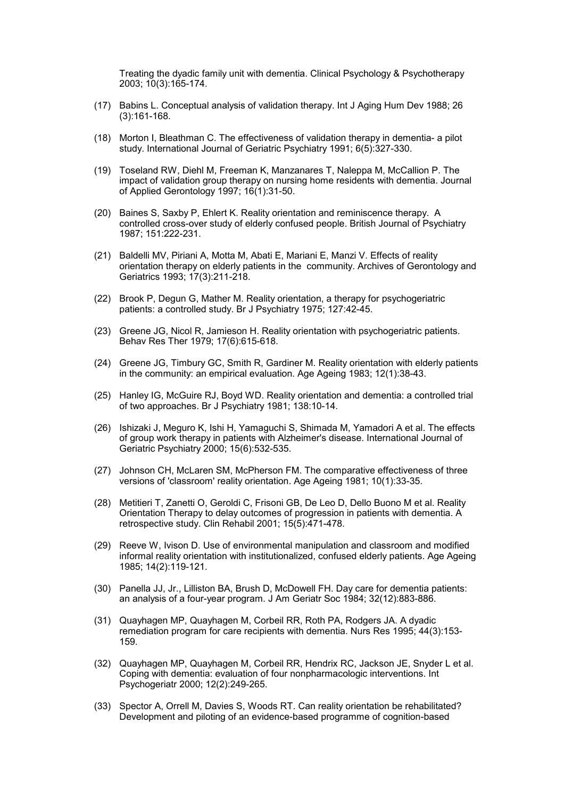Treating the dyadic family unit with dementia. Clinical Psychology & Psychotherapy 2003; 10(3):165-174.

- (17) Babins L. Conceptual analysis of validation therapy. Int J Aging Hum Dev 1988; 26 (3):161-168.
- (18) Morton I, Bleathman C. The effectiveness of validation therapy in dementia- a pilot study. International Journal of Geriatric Psychiatry 1991; 6(5):327-330.
- (19) Toseland RW, Diehl M, Freeman K, Manzanares T, Naleppa M, McCallion P. The impact of validation group therapy on nursing home residents with dementia. Journal of Applied Gerontology 1997; 16(1):31-50.
- (20) Baines S, Saxby P, Ehlert K. Reality orientation and reminiscence therapy. A controlled cross-over study of elderly confused people. British Journal of Psychiatry 1987; 151:222-231.
- (21) Baldelli MV, Piriani A, Motta M, Abati E, Mariani E, Manzi V. Effects of reality orientation therapy on elderly patients in the community. Archives of Gerontology and Geriatrics 1993; 17(3):211-218.
- (22) Brook P, Degun G, Mather M. Reality orientation, a therapy for psychogeriatric patients: a controlled study. Br J Psychiatry 1975; 127:42-45.
- (23) Greene JG, Nicol R, Jamieson H. Reality orientation with psychogeriatric patients. Behav Res Ther 1979; 17(6):615-618.
- (24) Greene JG, Timbury GC, Smith R, Gardiner M. Reality orientation with elderly patients in the community: an empirical evaluation. Age Ageing 1983; 12(1):38-43.
- (25) Hanley IG, McGuire RJ, Boyd WD. Reality orientation and dementia: a controlled trial of two approaches. Br J Psychiatry 1981; 138:10-14.
- (26) Ishizaki J, Meguro K, Ishi H, Yamaguchi S, Shimada M, Yamadori A et al. The effects of group work therapy in patients with Alzheimer's disease. International Journal of Geriatric Psychiatry 2000; 15(6):532-535.
- (27) Johnson CH, McLaren SM, McPherson FM. The comparative effectiveness of three versions of 'classroom' reality orientation. Age Ageing 1981; 10(1):33-35.
- (28) Metitieri T, Zanetti O, Geroldi C, Frisoni GB, De Leo D, Dello Buono M et al. Reality Orientation Therapy to delay outcomes of progression in patients with dementia. A retrospective study. Clin Rehabil 2001; 15(5):471-478.
- (29) Reeve W, Ivison D. Use of environmental manipulation and classroom and modified informal reality orientation with institutionalized, confused elderly patients. Age Ageing 1985; 14(2):119-121.
- (30) Panella JJ, Jr., Lilliston BA, Brush D, McDowell FH. Day care for dementia patients: an analysis of a four-year program. J Am Geriatr Soc 1984; 32(12):883-886.
- (31) Quayhagen MP, Quayhagen M, Corbeil RR, Roth PA, Rodgers JA. A dyadic remediation program for care recipients with dementia. Nurs Res 1995; 44(3):153- 159.
- (32) Quayhagen MP, Quayhagen M, Corbeil RR, Hendrix RC, Jackson JE, Snyder L et al. Coping with dementia: evaluation of four nonpharmacologic interventions. Int Psychogeriatr 2000; 12(2):249-265.
- (33) Spector A, Orrell M, Davies S, Woods RT. Can reality orientation be rehabilitated? Development and piloting of an evidence-based programme of cognition-based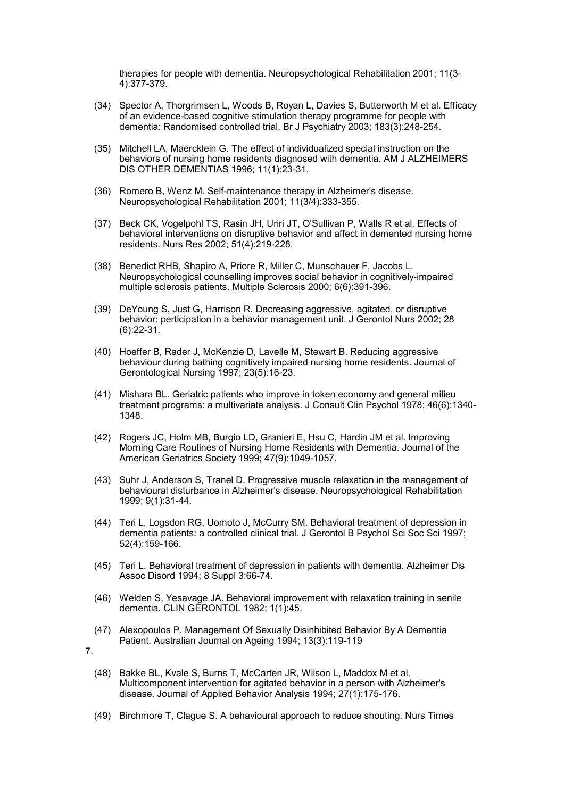therapies for people with dementia. Neuropsychological Rehabilitation 2001; 11(3- 4):377-379.

- (34) Spector A, Thorgrimsen L, Woods B, Royan L, Davies S, Butterworth M et al. Efficacy of an evidence-based cognitive stimulation therapy programme for people with dementia: Randomised controlled trial. Br J Psychiatry 2003; 183(3):248-254.
- (35) Mitchell LA, Maercklein G. The effect of individualized special instruction on the behaviors of nursing home residents diagnosed with dementia. AM J ALZHEIMERS DIS OTHER DEMENTIAS 1996; 11(1):23-31.
- (36) Romero B, Wenz M. Self-maintenance therapy in Alzheimer's disease. Neuropsychological Rehabilitation 2001; 11(3/4):333-355.
- (37) Beck CK, Vogelpohl TS, Rasin JH, Uriri JT, O'Sullivan P, Walls R et al. Effects of behavioral interventions on disruptive behavior and affect in demented nursing home residents. Nurs Res 2002; 51(4):219-228.
- (38) Benedict RHB, Shapiro A, Priore R, Miller C, Munschauer F, Jacobs L. Neuropsychological counselling improves social behavior in cognitively-impaired multiple sclerosis patients. Multiple Sclerosis 2000; 6(6):391-396.
- (39) DeYoung S, Just G, Harrison R. Decreasing aggressive, agitated, or disruptive behavior: perticipation in a behavior management unit. J Gerontol Nurs 2002; 28 (6):22-31.
- (40) Hoeffer B, Rader J, McKenzie D, Lavelle M, Stewart B. Reducing aggressive behaviour during bathing cognitively impaired nursing home residents. Journal of Gerontological Nursing 1997; 23(5):16-23.
- (41) Mishara BL. Geriatric patients who improve in token economy and general milieu treatment programs: a multivariate analysis. J Consult Clin Psychol 1978; 46(6):1340- 1348.
- (42) Rogers JC, Holm MB, Burgio LD, Granieri E, Hsu C, Hardin JM et al. Improving Morning Care Routines of Nursing Home Residents with Dementia. Journal of the American Geriatrics Society 1999; 47(9):1049-1057.
- (43) Suhr J, Anderson S, Tranel D. Progressive muscle relaxation in the management of behavioural disturbance in Alzheimer's disease. Neuropsychological Rehabilitation 1999; 9(1):31-44.
- (44) Teri L, Logsdon RG, Uomoto J, McCurry SM. Behavioral treatment of depression in dementia patients: a controlled clinical trial. J Gerontol B Psychol Sci Soc Sci 1997; 52(4):159-166.
- (45) Teri L. Behavioral treatment of depression in patients with dementia. Alzheimer Dis Assoc Disord 1994; 8 Suppl 3:66-74.
- (46) Welden S, Yesavage JA. Behavioral improvement with relaxation training in senile dementia. CLIN GERONTOL 1982; 1(1):45.
- (47) Alexopoulos P. Management Of Sexually Disinhibited Behavior By A Dementia Patient. Australian Journal on Ageing 1994; 13(3):119-119
- 7.
	- (48) Bakke BL, Kvale S, Burns T, McCarten JR, Wilson L, Maddox M et al. Multicomponent intervention for agitated behavior in a person with Alzheimer's disease. Journal of Applied Behavior Analysis 1994; 27(1):175-176.
	- (49) Birchmore T, Clague S. A behavioural approach to reduce shouting. Nurs Times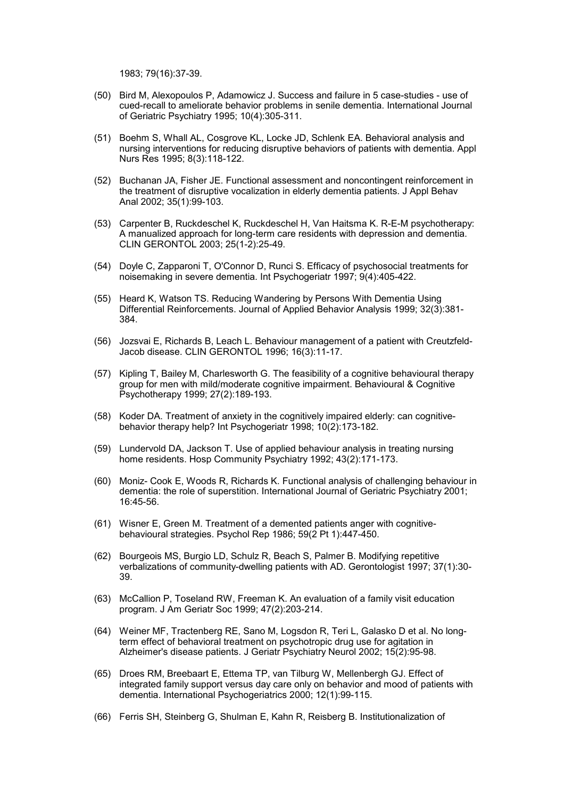1983; 79(16):37-39.

- (50) Bird M, Alexopoulos P, Adamowicz J. Success and failure in 5 case-studies use of cued-recall to ameliorate behavior problems in senile dementia. International Journal of Geriatric Psychiatry 1995; 10(4):305-311.
- (51) Boehm S, Whall AL, Cosgrove KL, Locke JD, Schlenk EA. Behavioral analysis and nursing interventions for reducing disruptive behaviors of patients with dementia. Appl Nurs Res 1995; 8(3):118-122.
- (52) Buchanan JA, Fisher JE. Functional assessment and noncontingent reinforcement in the treatment of disruptive vocalization in elderly dementia patients. J Appl Behav Anal 2002; 35(1):99-103.
- (53) Carpenter B, Ruckdeschel K, Ruckdeschel H, Van Haitsma K. R-E-M psychotherapy: A manualized approach for long-term care residents with depression and dementia. CLIN GERONTOL 2003; 25(1-2):25-49.
- (54) Doyle C, Zapparoni T, O'Connor D, Runci S. Efficacy of psychosocial treatments for noisemaking in severe dementia. Int Psychogeriatr 1997; 9(4):405-422.
- (55) Heard K, Watson TS. Reducing Wandering by Persons With Dementia Using Differential Reinforcements. Journal of Applied Behavior Analysis 1999; 32(3):381- 384.
- (56) Jozsvai E, Richards B, Leach L. Behaviour management of a patient with Creutzfeld-Jacob disease. CLIN GERONTOL 1996; 16(3):11-17.
- (57) Kipling T, Bailey M, Charlesworth G. The feasibility of a cognitive behavioural therapy group for men with mild/moderate cognitive impairment. Behavioural & Cognitive Psychotherapy 1999; 27(2):189-193.
- (58) Koder DA. Treatment of anxiety in the cognitively impaired elderly: can cognitivebehavior therapy help? Int Psychogeriatr 1998; 10(2):173-182.
- (59) Lundervold DA, Jackson T. Use of applied behaviour analysis in treating nursing home residents. Hosp Community Psychiatry 1992; 43(2):171-173.
- (60) Moniz- Cook E, Woods R, Richards K. Functional analysis of challenging behaviour in dementia: the role of superstition. International Journal of Geriatric Psychiatry 2001; 16:45-56.
- (61) Wisner E, Green M. Treatment of a demented patients anger with cognitivebehavioural strategies. Psychol Rep 1986; 59(2 Pt 1):447-450.
- (62) Bourgeois MS, Burgio LD, Schulz R, Beach S, Palmer B. Modifying repetitive verbalizations of community-dwelling patients with AD. Gerontologist 1997; 37(1):30- 39.
- (63) McCallion P, Toseland RW, Freeman K. An evaluation of a family visit education program. J Am Geriatr Soc 1999; 47(2):203-214.
- (64) Weiner MF, Tractenberg RE, Sano M, Logsdon R, Teri L, Galasko D et al. No longterm effect of behavioral treatment on psychotropic drug use for agitation in Alzheimer's disease patients. J Geriatr Psychiatry Neurol 2002; 15(2):95-98.
- (65) Droes RM, Breebaart E, Ettema TP, van Tilburg W, Mellenbergh GJ. Effect of integrated family support versus day care only on behavior and mood of patients with dementia. International Psychogeriatrics 2000; 12(1):99-115.
- (66) Ferris SH, Steinberg G, Shulman E, Kahn R, Reisberg B. Institutionalization of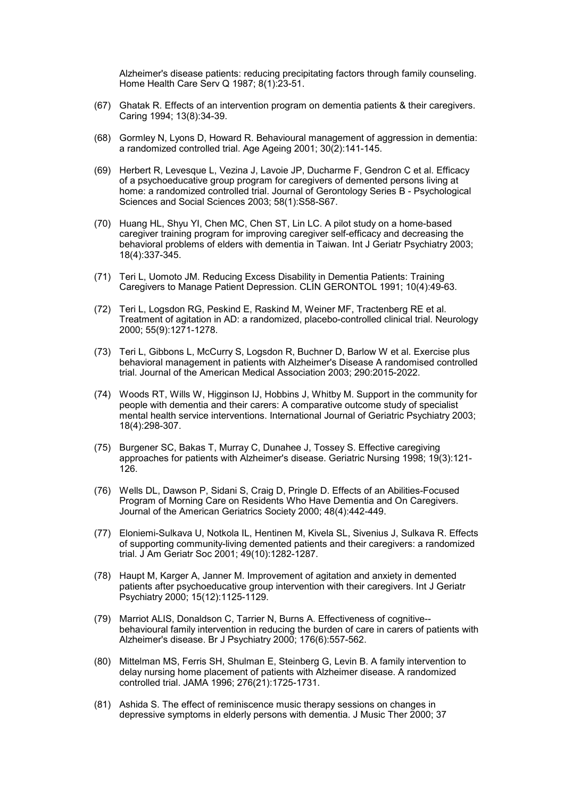Alzheimer's disease patients: reducing precipitating factors through family counseling. Home Health Care Serv Q 1987; 8(1):23-51.

- (67) Ghatak R. Effects of an intervention program on dementia patients & their caregivers. Caring 1994; 13(8):34-39.
- (68) Gormley N, Lyons D, Howard R. Behavioural management of aggression in dementia: a randomized controlled trial. Age Ageing 2001; 30(2):141-145.
- (69) Herbert R, Levesque L, Vezina J, Lavoie JP, Ducharme F, Gendron C et al. Efficacy of a psychoeducative group program for caregivers of demented persons living at home: a randomized controlled trial. Journal of Gerontology Series B - Psychological Sciences and Social Sciences 2003; 58(1):S58-S67.
- (70) Huang HL, Shyu YI, Chen MC, Chen ST, Lin LC. A pilot study on a home-based caregiver training program for improving caregiver self-efficacy and decreasing the behavioral problems of elders with dementia in Taiwan. Int J Geriatr Psychiatry 2003; 18(4):337-345.
- (71) Teri L, Uomoto JM. Reducing Excess Disability in Dementia Patients: Training Caregivers to Manage Patient Depression. CLIN GERONTOL 1991; 10(4):49-63.
- (72) Teri L, Logsdon RG, Peskind E, Raskind M, Weiner MF, Tractenberg RE et al. Treatment of agitation in AD: a randomized, placebo-controlled clinical trial. Neurology 2000; 55(9):1271-1278.
- (73) Teri L, Gibbons L, McCurry S, Logsdon R, Buchner D, Barlow W et al. Exercise plus behavioral management in patients with Alzheimer's Disease A randomised controlled trial. Journal of the American Medical Association 2003; 290:2015-2022.
- (74) Woods RT, Wills W, Higginson IJ, Hobbins J, Whitby M. Support in the community for people with dementia and their carers: A comparative outcome study of specialist mental health service interventions. International Journal of Geriatric Psychiatry 2003; 18(4):298-307.
- (75) Burgener SC, Bakas T, Murray C, Dunahee J, Tossey S. Effective caregiving approaches for patients with Alzheimer's disease. Geriatric Nursing 1998; 19(3):121- 126.
- (76) Wells DL, Dawson P, Sidani S, Craig D, Pringle D. Effects of an Abilities-Focused Program of Morning Care on Residents Who Have Dementia and On Caregivers. Journal of the American Geriatrics Society 2000; 48(4):442-449.
- (77) Eloniemi-Sulkava U, Notkola IL, Hentinen M, Kivela SL, Sivenius J, Sulkava R. Effects of supporting community-living demented patients and their caregivers: a randomized trial. J Am Geriatr Soc 2001; 49(10):1282-1287.
- (78) Haupt M, Karger A, Janner M. Improvement of agitation and anxiety in demented patients after psychoeducative group intervention with their caregivers. Int J Geriatr Psychiatry 2000; 15(12):1125-1129.
- (79) Marriot ALIS, Donaldson C, Tarrier N, Burns A. Effectiveness of cognitive- behavioural family intervention in reducing the burden of care in carers of patients with Alzheimer's disease. Br J Psychiatry 2000; 176(6):557-562.
- (80) Mittelman MS, Ferris SH, Shulman E, Steinberg G, Levin B. A family intervention to delay nursing home placement of patients with Alzheimer disease. A randomized controlled trial. JAMA 1996; 276(21):1725-1731.
- (81) Ashida S. The effect of reminiscence music therapy sessions on changes in depressive symptoms in elderly persons with dementia. J Music Ther 2000; 37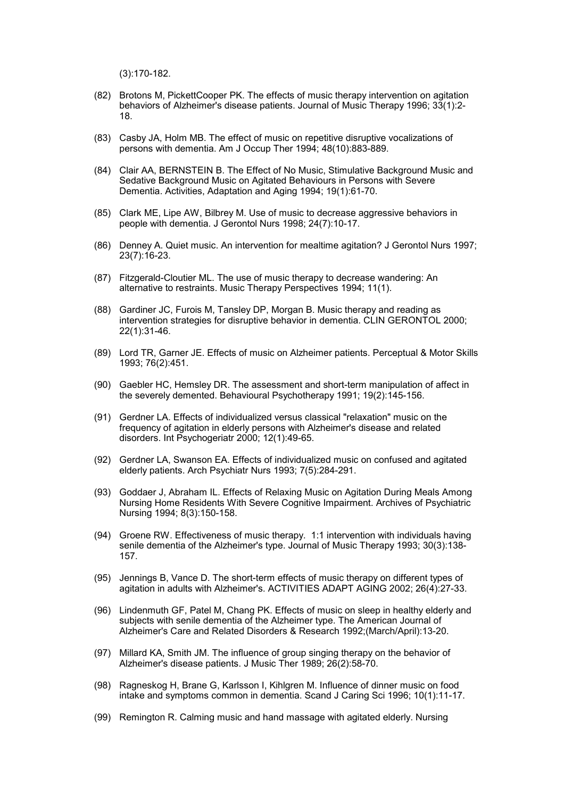(3):170-182.

- (82) Brotons M, PickettCooper PK. The effects of music therapy intervention on agitation behaviors of Alzheimer's disease patients. Journal of Music Therapy 1996; 33(1):2- 18.
- (83) Casby JA, Holm MB. The effect of music on repetitive disruptive vocalizations of persons with dementia. Am J Occup Ther 1994; 48(10):883-889.
- (84) Clair AA, BERNSTEIN B. The Effect of No Music, Stimulative Background Music and Sedative Background Music on Agitated Behaviours in Persons with Severe Dementia. Activities, Adaptation and Aging 1994; 19(1):61-70.
- (85) Clark ME, Lipe AW, Bilbrey M. Use of music to decrease aggressive behaviors in people with dementia. J Gerontol Nurs 1998; 24(7):10-17.
- (86) Denney A. Quiet music. An intervention for mealtime agitation? J Gerontol Nurs 1997; 23(7):16-23.
- (87) Fitzgerald-Cloutier ML. The use of music therapy to decrease wandering: An alternative to restraints. Music Therapy Perspectives 1994; 11(1).
- (88) Gardiner JC, Furois M, Tansley DP, Morgan B. Music therapy and reading as intervention strategies for disruptive behavior in dementia. CLIN GERONTOL 2000; 22(1):31-46.
- (89) Lord TR, Garner JE. Effects of music on Alzheimer patients. Perceptual & Motor Skills 1993; 76(2):451.
- (90) Gaebler HC, Hemsley DR. The assessment and short-term manipulation of affect in the severely demented. Behavioural Psychotherapy 1991; 19(2):145-156.
- (91) Gerdner LA. Effects of individualized versus classical "relaxation" music on the frequency of agitation in elderly persons with Alzheimer's disease and related disorders. Int Psychogeriatr 2000; 12(1):49-65.
- (92) Gerdner LA, Swanson EA. Effects of individualized music on confused and agitated elderly patients. Arch Psychiatr Nurs 1993; 7(5):284-291.
- (93) Goddaer J, Abraham IL. Effects of Relaxing Music on Agitation During Meals Among Nursing Home Residents With Severe Cognitive Impairment. Archives of Psychiatric Nursing 1994; 8(3):150-158.
- (94) Groene RW. Effectiveness of music therapy. 1:1 intervention with individuals having senile dementia of the Alzheimer's type. Journal of Music Therapy 1993; 30(3):138- 157.
- (95) Jennings B, Vance D. The short-term effects of music therapy on different types of agitation in adults with Alzheimer's. ACTIVITIES ADAPT AGING 2002; 26(4):27-33.
- (96) Lindenmuth GF, Patel M, Chang PK. Effects of music on sleep in healthy elderly and subjects with senile dementia of the Alzheimer type. The American Journal of Alzheimer's Care and Related Disorders & Research 1992;(March/April):13-20.
- (97) Millard KA, Smith JM. The influence of group singing therapy on the behavior of Alzheimer's disease patients. J Music Ther 1989; 26(2):58-70.
- (98) Ragneskog H, Brane G, Karlsson I, Kihlgren M. Influence of dinner music on food intake and symptoms common in dementia. Scand J Caring Sci 1996; 10(1):11-17.
- (99) Remington R. Calming music and hand massage with agitated elderly. Nursing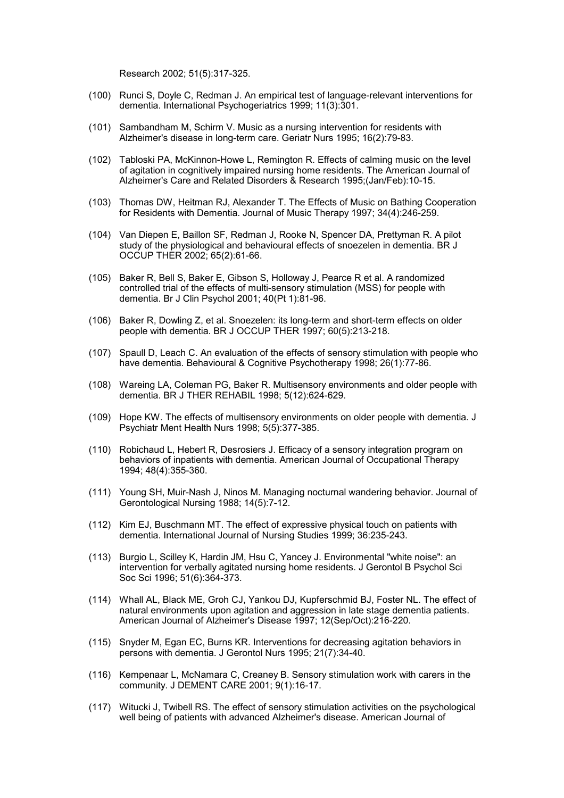Research 2002; 51(5):317-325.

- (100) Runci S, Doyle C, Redman J. An empirical test of language-relevant interventions for dementia. International Psychogeriatrics 1999; 11(3):301.
- (101) Sambandham M, Schirm V. Music as a nursing intervention for residents with Alzheimer's disease in long-term care. Geriatr Nurs 1995; 16(2):79-83.
- (102) Tabloski PA, McKinnon-Howe L, Remington R. Effects of calming music on the level of agitation in cognitively impaired nursing home residents. The American Journal of Alzheimer's Care and Related Disorders & Research 1995;(Jan/Feb):10-15.
- (103) Thomas DW, Heitman RJ, Alexander T. The Effects of Music on Bathing Cooperation for Residents with Dementia. Journal of Music Therapy 1997; 34(4):246-259.
- (104) Van Diepen E, Baillon SF, Redman J, Rooke N, Spencer DA, Prettyman R. A pilot study of the physiological and behavioural effects of snoezelen in dementia. BR J OCCUP THER 2002; 65(2):61-66.
- (105) Baker R, Bell S, Baker E, Gibson S, Holloway J, Pearce R et al. A randomized controlled trial of the effects of multi-sensory stimulation (MSS) for people with dementia. Br J Clin Psychol 2001; 40(Pt 1):81-96.
- (106) Baker R, Dowling Z, et al. Snoezelen: its long-term and short-term effects on older people with dementia. BR J OCCUP THER 1997; 60(5):213-218.
- (107) Spaull D, Leach C. An evaluation of the effects of sensory stimulation with people who have dementia. Behavioural & Cognitive Psychotherapy 1998; 26(1):77-86.
- (108) Wareing LA, Coleman PG, Baker R. Multisensory environments and older people with dementia. BR J THER REHABIL 1998; 5(12):624-629.
- (109) Hope KW. The effects of multisensory environments on older people with dementia. J Psychiatr Ment Health Nurs 1998; 5(5):377-385.
- (110) Robichaud L, Hebert R, Desrosiers J. Efficacy of a sensory integration program on behaviors of inpatients with dementia. American Journal of Occupational Therapy 1994; 48(4):355-360.
- (111) Young SH, Muir-Nash J, Ninos M. Managing nocturnal wandering behavior. Journal of Gerontological Nursing 1988; 14(5):7-12.
- (112) Kim EJ, Buschmann MT. The effect of expressive physical touch on patients with dementia. International Journal of Nursing Studies 1999; 36:235-243.
- (113) Burgio L, Scilley K, Hardin JM, Hsu C, Yancey J. Environmental "white noise": an intervention for verbally agitated nursing home residents. J Gerontol B Psychol Sci Soc Sci 1996; 51(6):364-373.
- (114) Whall AL, Black ME, Groh CJ, Yankou DJ, Kupferschmid BJ, Foster NL. The effect of natural environments upon agitation and aggression in late stage dementia patients. American Journal of Alzheimer's Disease 1997; 12(Sep/Oct):216-220.
- (115) Snyder M, Egan EC, Burns KR. Interventions for decreasing agitation behaviors in persons with dementia. J Gerontol Nurs 1995; 21(7):34-40.
- (116) Kempenaar L, McNamara C, Creaney B. Sensory stimulation work with carers in the community. J DEMENT CARE 2001; 9(1):16-17.
- (117) Witucki J, Twibell RS. The effect of sensory stimulation activities on the psychological well being of patients with advanced Alzheimer's disease. American Journal of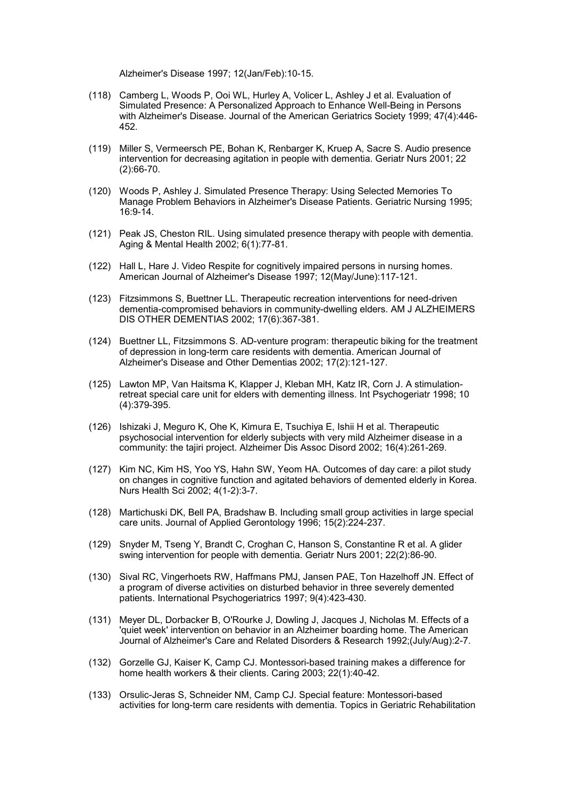Alzheimer's Disease 1997; 12(Jan/Feb):10-15.

- (118) Camberg L, Woods P, Ooi WL, Hurley A, Volicer L, Ashley J et al. Evaluation of Simulated Presence: A Personalized Approach to Enhance Well-Being in Persons with Alzheimer's Disease. Journal of the American Geriatrics Society 1999; 47(4):446- 452.
- (119) Miller S, Vermeersch PE, Bohan K, Renbarger K, Kruep A, Sacre S. Audio presence intervention for decreasing agitation in people with dementia. Geriatr Nurs 2001; 22 (2):66-70.
- (120) Woods P, Ashley J. Simulated Presence Therapy: Using Selected Memories To Manage Problem Behaviors in Alzheimer's Disease Patients. Geriatric Nursing 1995; 16:9-14.
- (121) Peak JS, Cheston RIL. Using simulated presence therapy with people with dementia. Aging & Mental Health 2002; 6(1):77-81.
- (122) Hall L, Hare J. Video Respite for cognitively impaired persons in nursing homes. American Journal of Alzheimer's Disease 1997; 12(May/June):117-121.
- (123) Fitzsimmons S, Buettner LL. Therapeutic recreation interventions for need-driven dementia-compromised behaviors in community-dwelling elders. AM J ALZHEIMERS DIS OTHER DEMENTIAS 2002; 17(6):367-381.
- (124) Buettner LL, Fitzsimmons S. AD-venture program: therapeutic biking for the treatment of depression in long-term care residents with dementia. American Journal of Alzheimer's Disease and Other Dementias 2002; 17(2):121-127.
- (125) Lawton MP, Van Haitsma K, Klapper J, Kleban MH, Katz IR, Corn J. A stimulationretreat special care unit for elders with dementing illness. Int Psychogeriatr 1998; 10 (4):379-395.
- (126) Ishizaki J, Meguro K, Ohe K, Kimura E, Tsuchiya E, Ishii H et al. Therapeutic psychosocial intervention for elderly subjects with very mild Alzheimer disease in a community: the tajiri project. Alzheimer Dis Assoc Disord 2002; 16(4):261-269.
- (127) Kim NC, Kim HS, Yoo YS, Hahn SW, Yeom HA. Outcomes of day care: a pilot study on changes in cognitive function and agitated behaviors of demented elderly in Korea. Nurs Health Sci 2002; 4(1-2):3-7.
- (128) Martichuski DK, Bell PA, Bradshaw B. Including small group activities in large special care units. Journal of Applied Gerontology 1996; 15(2):224-237.
- (129) Snyder M, Tseng Y, Brandt C, Croghan C, Hanson S, Constantine R et al. A glider swing intervention for people with dementia. Geriatr Nurs 2001; 22(2):86-90.
- (130) Sival RC, Vingerhoets RW, Haffmans PMJ, Jansen PAE, Ton Hazelhoff JN. Effect of a program of diverse activities on disturbed behavior in three severely demented patients. International Psychogeriatrics 1997; 9(4):423-430.
- (131) Meyer DL, Dorbacker B, O'Rourke J, Dowling J, Jacques J, Nicholas M. Effects of a 'quiet week' intervention on behavior in an Alzheimer boarding home. The American Journal of Alzheimer's Care and Related Disorders & Research 1992;(July/Aug):2-7.
- (132) Gorzelle GJ, Kaiser K, Camp CJ. Montessori-based training makes a difference for home health workers & their clients. Caring 2003; 22(1):40-42.
- (133) Orsulic-Jeras S, Schneider NM, Camp CJ. Special feature: Montessori-based activities for long-term care residents with dementia. Topics in Geriatric Rehabilitation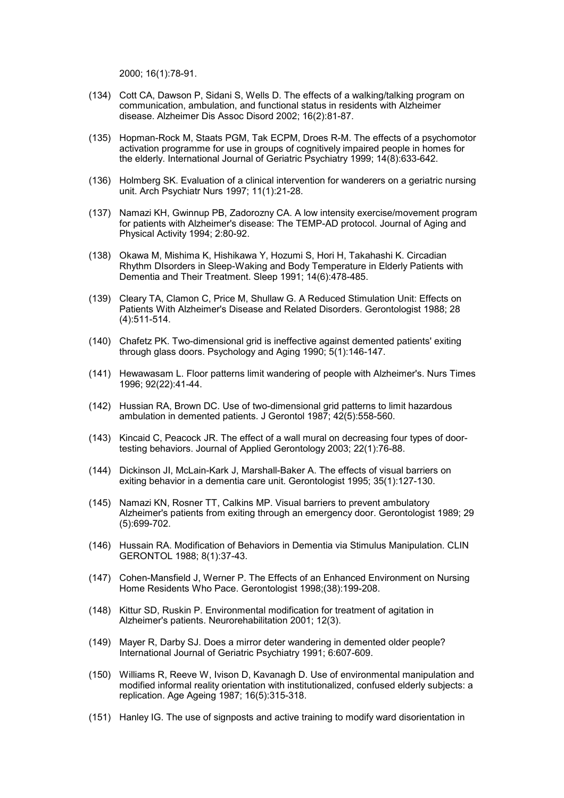2000; 16(1):78-91.

- (134) Cott CA, Dawson P, Sidani S, Wells D. The effects of a walking/talking program on communication, ambulation, and functional status in residents with Alzheimer disease. Alzheimer Dis Assoc Disord 2002; 16(2):81-87.
- (135) Hopman-Rock M, Staats PGM, Tak ECPM, Droes R-M. The effects of a psychomotor activation programme for use in groups of cognitively impaired people in homes for the elderly. International Journal of Geriatric Psychiatry 1999; 14(8):633-642.
- (136) Holmberg SK. Evaluation of a clinical intervention for wanderers on a geriatric nursing unit. Arch Psychiatr Nurs 1997; 11(1):21-28.
- (137) Namazi KH, Gwinnup PB, Zadorozny CA. A low intensity exercise/movement program for patients with Alzheimer's disease: The TEMP-AD protocol. Journal of Aging and Physical Activity 1994; 2:80-92.
- (138) Okawa M, Mishima K, Hishikawa Y, Hozumi S, Hori H, Takahashi K. Circadian Rhythm DIsorders in Sleep-Waking and Body Temperature in Elderly Patients with Dementia and Their Treatment. Sleep 1991; 14(6):478-485.
- (139) Cleary TA, Clamon C, Price M, Shullaw G. A Reduced Stimulation Unit: Effects on Patients With Alzheimer's Disease and Related Disorders. Gerontologist 1988; 28 (4):511-514.
- (140) Chafetz PK. Two-dimensional grid is ineffective against demented patients' exiting through glass doors. Psychology and Aging 1990; 5(1):146-147.
- (141) Hewawasam L. Floor patterns limit wandering of people with Alzheimer's. Nurs Times 1996; 92(22):41-44.
- (142) Hussian RA, Brown DC. Use of two-dimensional grid patterns to limit hazardous ambulation in demented patients. J Gerontol 1987; 42(5):558-560.
- (143) Kincaid C, Peacock JR. The effect of a wall mural on decreasing four types of doortesting behaviors. Journal of Applied Gerontology 2003; 22(1):76-88.
- (144) Dickinson JI, McLain-Kark J, Marshall-Baker A. The effects of visual barriers on exiting behavior in a dementia care unit. Gerontologist 1995; 35(1):127-130.
- (145) Namazi KN, Rosner TT, Calkins MP. Visual barriers to prevent ambulatory Alzheimer's patients from exiting through an emergency door. Gerontologist 1989; 29 (5):699-702.
- (146) Hussain RA. Modification of Behaviors in Dementia via Stimulus Manipulation. CLIN GERONTOL 1988; 8(1):37-43.
- (147) Cohen-Mansfield J, Werner P. The Effects of an Enhanced Environment on Nursing Home Residents Who Pace. Gerontologist 1998;(38):199-208.
- (148) Kittur SD, Ruskin P. Environmental modification for treatment of agitation in Alzheimer's patients. Neurorehabilitation 2001; 12(3).
- (149) Mayer R, Darby SJ. Does a mirror deter wandering in demented older people? International Journal of Geriatric Psychiatry 1991; 6:607-609.
- (150) Williams R, Reeve W, Ivison D, Kavanagh D. Use of environmental manipulation and modified informal reality orientation with institutionalized, confused elderly subjects: a replication. Age Ageing 1987; 16(5):315-318.
- (151) Hanley IG. The use of signposts and active training to modify ward disorientation in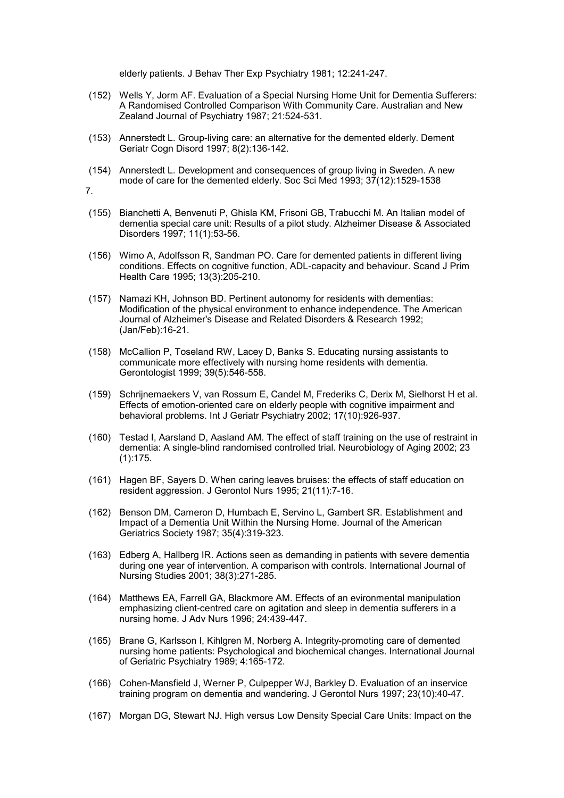elderly patients. J Behav Ther Exp Psychiatry 1981; 12:241-247.

- (152) Wells Y, Jorm AF. Evaluation of a Special Nursing Home Unit for Dementia Sufferers: A Randomised Controlled Comparison With Community Care. Australian and New Zealand Journal of Psychiatry 1987; 21:524-531.
- (153) Annerstedt L. Group-living care: an alternative for the demented elderly. Dement Geriatr Cogn Disord 1997; 8(2):136-142.
- (154) Annerstedt L. Development and consequences of group living in Sweden. A new mode of care for the demented elderly. Soc Sci Med 1993; 37(12):1529-1538
- 7.
- (155) Bianchetti A, Benvenuti P, Ghisla KM, Frisoni GB, Trabucchi M. An Italian model of dementia special care unit: Results of a pilot study. Alzheimer Disease & Associated Disorders 1997; 11(1):53-56.
- (156) Wimo A, Adolfsson R, Sandman PO. Care for demented patients in different living conditions. Effects on cognitive function, ADL-capacity and behaviour. Scand J Prim Health Care 1995; 13(3):205-210.
- (157) Namazi KH, Johnson BD. Pertinent autonomy for residents with dementias: Modification of the physical environment to enhance independence. The American Journal of Alzheimer's Disease and Related Disorders & Research 1992; (Jan/Feb):16-21.
- (158) McCallion P, Toseland RW, Lacey D, Banks S. Educating nursing assistants to communicate more effectively with nursing home residents with dementia. Gerontologist 1999; 39(5):546-558.
- (159) Schrijnemaekers V, van Rossum E, Candel M, Frederiks C, Derix M, Sielhorst H et al. Effects of emotion-oriented care on elderly people with cognitive impairment and behavioral problems. Int J Geriatr Psychiatry 2002; 17(10):926-937.
- (160) Testad I, Aarsland D, Aasland AM. The effect of staff training on the use of restraint in dementia: A single-blind randomised controlled trial. Neurobiology of Aging 2002; 23 (1):175.
- (161) Hagen BF, Sayers D. When caring leaves bruises: the effects of staff education on resident aggression. J Gerontol Nurs 1995; 21(11):7-16.
- (162) Benson DM, Cameron D, Humbach E, Servino L, Gambert SR. Establishment and Impact of a Dementia Unit Within the Nursing Home. Journal of the American Geriatrics Society 1987; 35(4):319-323.
- (163) Edberg A, Hallberg IR. Actions seen as demanding in patients with severe dementia during one year of intervention. A comparison with controls. International Journal of Nursing Studies 2001; 38(3):271-285.
- (164) Matthews EA, Farrell GA, Blackmore AM. Effects of an evironmental manipulation emphasizing client-centred care on agitation and sleep in dementia sufferers in a nursing home. J Adv Nurs 1996; 24:439-447.
- (165) Brane G, Karlsson I, Kihlgren M, Norberg A. Integrity-promoting care of demented nursing home patients: Psychological and biochemical changes. International Journal of Geriatric Psychiatry 1989; 4:165-172.
- (166) Cohen-Mansfield J, Werner P, Culpepper WJ, Barkley D. Evaluation of an inservice training program on dementia and wandering. J Gerontol Nurs 1997; 23(10):40-47.
- (167) Morgan DG, Stewart NJ. High versus Low Density Special Care Units: Impact on the